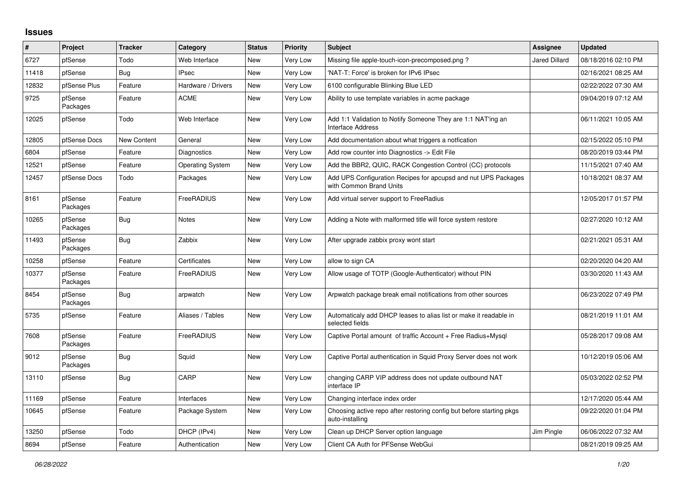## **Issues**

| ∦     | Project             | <b>Tracker</b>     | Category                | <b>Status</b> | Priority        | <b>Subject</b>                                                                            | Assignee             | <b>Updated</b>      |
|-------|---------------------|--------------------|-------------------------|---------------|-----------------|-------------------------------------------------------------------------------------------|----------------------|---------------------|
| 6727  | pfSense             | Todo               | Web Interface           | <b>New</b>    | Very Low        | Missing file apple-touch-icon-precomposed.png?                                            | <b>Jared Dillard</b> | 08/18/2016 02:10 PM |
| 11418 | pfSense             | Bug                | <b>IPsec</b>            | <b>New</b>    | Very Low        | 'NAT-T: Force' is broken for IPv6 IPsec                                                   |                      | 02/16/2021 08:25 AM |
| 12832 | pfSense Plus        | Feature            | Hardware / Drivers      | <b>New</b>    | Very Low        | 6100 configurable Blinking Blue LED                                                       |                      | 02/22/2022 07:30 AM |
| 9725  | pfSense<br>Packages | Feature            | ACME                    | New           | Very Low        | Ability to use template variables in acme package                                         |                      | 09/04/2019 07:12 AM |
| 12025 | pfSense             | Todo               | Web Interface           | New           | Very Low        | Add 1:1 Validation to Notify Someone They are 1:1 NAT'ing an<br><b>Interface Address</b>  |                      | 06/11/2021 10:05 AM |
| 12805 | pfSense Docs        | <b>New Content</b> | General                 | New           | Very Low        | Add documentation about what triggers a notfication                                       |                      | 02/15/2022 05:10 PM |
| 6804  | pfSense             | Feature            | Diagnostics             | <b>New</b>    | <b>Very Low</b> | Add row counter into Diagnostics -> Edit File                                             |                      | 08/20/2019 03:44 PM |
| 12521 | pfSense             | Feature            | <b>Operating System</b> | New           | Very Low        | Add the BBR2, QUIC, RACK Congestion Control (CC) protocols                                |                      | 11/15/2021 07:40 AM |
| 12457 | pfSense Docs        | Todo               | Packages                | New           | Very Low        | Add UPS Configuration Recipes for apcupsd and nut UPS Packages<br>with Common Brand Units |                      | 10/18/2021 08:37 AM |
| 8161  | pfSense<br>Packages | Feature            | <b>FreeRADIUS</b>       | New           | Very Low        | Add virtual server support to FreeRadius                                                  |                      | 12/05/2017 01:57 PM |
| 10265 | pfSense<br>Packages | <b>Bug</b>         | Notes                   | New           | Very Low        | Adding a Note with malformed title will force system restore                              |                      | 02/27/2020 10:12 AM |
| 11493 | pfSense<br>Packages | <b>Bug</b>         | Zabbix                  | New           | Very Low        | After upgrade zabbix proxy wont start                                                     |                      | 02/21/2021 05:31 AM |
| 10258 | pfSense             | Feature            | Certificates            | <b>New</b>    | Very Low        | allow to sign CA                                                                          |                      | 02/20/2020 04:20 AM |
| 10377 | pfSense<br>Packages | Feature            | <b>FreeRADIUS</b>       | New           | Very Low        | Allow usage of TOTP (Google-Authenticator) without PIN                                    |                      | 03/30/2020 11:43 AM |
| 8454  | pfSense<br>Packages | <b>Bug</b>         | arpwatch                | New           | Very Low        | Arpwatch package break email notifications from other sources                             |                      | 06/23/2022 07:49 PM |
| 5735  | pfSense             | Feature            | Aliases / Tables        | <b>New</b>    | Very Low        | Automaticaly add DHCP leases to alias list or make it readable in<br>selected fields      |                      | 08/21/2019 11:01 AM |
| 7608  | pfSense<br>Packages | Feature            | <b>FreeRADIUS</b>       | New           | Very Low        | Captive Portal amount of traffic Account + Free Radius+Mysql                              |                      | 05/28/2017 09:08 AM |
| 9012  | pfSense<br>Packages | <b>Bug</b>         | Squid                   | New           | Very Low        | Captive Portal authentication in Squid Proxy Server does not work                         |                      | 10/12/2019 05:06 AM |
| 13110 | pfSense             | <b>Bug</b>         | CARP                    | <b>New</b>    | Very Low        | changing CARP VIP address does not update outbound NAT<br>interface IP                    |                      | 05/03/2022 02:52 PM |
| 11169 | pfSense             | Feature            | Interfaces              | New           | Very Low        | Changing interface index order                                                            |                      | 12/17/2020 05:44 AM |
| 10645 | pfSense             | Feature            | Package System          | New           | Very Low        | Choosing active repo after restoring config but before starting pkgs<br>auto-installing   |                      | 09/22/2020 01:04 PM |
| 13250 | pfSense             | Todo               | DHCP (IPv4)             | <b>New</b>    | Very Low        | Clean up DHCP Server option language                                                      | Jim Pingle           | 06/06/2022 07:32 AM |
| 8694  | pfSense             | Feature            | Authentication          | New           | Very Low        | Client CA Auth for PFSense WebGui                                                         |                      | 08/21/2019 09:25 AM |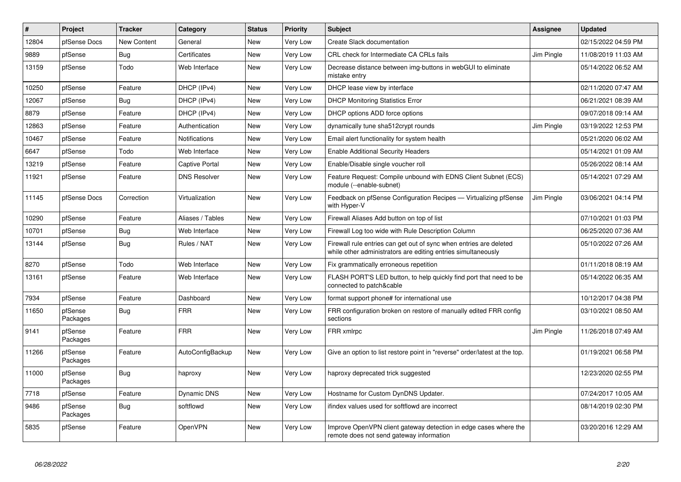| #     | Project             | <b>Tracker</b> | Category              | <b>Status</b> | <b>Priority</b> | <b>Subject</b>                                                                                                                      | Assignee   | <b>Updated</b>      |
|-------|---------------------|----------------|-----------------------|---------------|-----------------|-------------------------------------------------------------------------------------------------------------------------------------|------------|---------------------|
| 12804 | pfSense Docs        | New Content    | General               | New           | Very Low        | Create Slack documentation                                                                                                          |            | 02/15/2022 04:59 PM |
| 9889  | pfSense             | <b>Bug</b>     | Certificates          | New           | Very Low        | CRL check for Intermediate CA CRLs fails                                                                                            | Jim Pingle | 11/08/2019 11:03 AM |
| 13159 | pfSense             | Todo           | Web Interface         | New           | Very Low        | Decrease distance between img-buttons in webGUI to eliminate<br>mistake entry                                                       |            | 05/14/2022 06:52 AM |
| 10250 | pfSense             | Feature        | DHCP (IPv4)           | New           | Very Low        | DHCP lease view by interface                                                                                                        |            | 02/11/2020 07:47 AM |
| 12067 | pfSense             | <b>Bug</b>     | DHCP (IPv4)           | New           | Very Low        | <b>DHCP Monitoring Statistics Error</b>                                                                                             |            | 06/21/2021 08:39 AM |
| 8879  | pfSense             | Feature        | DHCP (IPv4)           | New           | Very Low        | DHCP options ADD force options                                                                                                      |            | 09/07/2018 09:14 AM |
| 12863 | pfSense             | Feature        | Authentication        | New           | Very Low        | dynamically tune sha512crypt rounds                                                                                                 | Jim Pingle | 03/19/2022 12:53 PM |
| 10467 | pfSense             | Feature        | Notifications         | New           | Very Low        | Email alert functionality for system health                                                                                         |            | 05/21/2020 06:02 AM |
| 6647  | pfSense             | Todo           | Web Interface         | New           | Very Low        | <b>Enable Additional Security Headers</b>                                                                                           |            | 05/14/2021 01:09 AM |
| 13219 | pfSense             | Feature        | <b>Captive Portal</b> | New           | Very Low        | Enable/Disable single voucher roll                                                                                                  |            | 05/26/2022 08:14 AM |
| 11921 | pfSense             | Feature        | <b>DNS Resolver</b>   | New           | Very Low        | Feature Request: Compile unbound with EDNS Client Subnet (ECS)<br>module (--enable-subnet)                                          |            | 05/14/2021 07:29 AM |
| 11145 | pfSense Docs        | Correction     | Virtualization        | <b>New</b>    | Very Low        | Feedback on pfSense Configuration Recipes - Virtualizing pfSense<br>with Hyper-V                                                    | Jim Pingle | 03/06/2021 04:14 PM |
| 10290 | pfSense             | Feature        | Aliases / Tables      | New           | Very Low        | Firewall Aliases Add button on top of list                                                                                          |            | 07/10/2021 01:03 PM |
| 10701 | pfSense             | Bug            | Web Interface         | New           | Very Low        | Firewall Log too wide with Rule Description Column                                                                                  |            | 06/25/2020 07:36 AM |
| 13144 | pfSense             | <b>Bug</b>     | Rules / NAT           | New           | Very Low        | Firewall rule entries can get out of sync when entries are deleted<br>while other administrators are editing entries simultaneously |            | 05/10/2022 07:26 AM |
| 8270  | pfSense             | Todo           | Web Interface         | New           | Very Low        | Fix grammatically erroneous repetition                                                                                              |            | 01/11/2018 08:19 AM |
| 13161 | pfSense             | Feature        | Web Interface         | New           | Very Low        | FLASH PORT'S LED button, to help quickly find port that need to be<br>connected to patch&cable                                      |            | 05/14/2022 06:35 AM |
| 7934  | pfSense             | Feature        | Dashboard             | New           | Very Low        | format support phone# for international use                                                                                         |            | 10/12/2017 04:38 PM |
| 11650 | pfSense<br>Packages | <b>Bug</b>     | <b>FRR</b>            | New           | Very Low        | FRR configuration broken on restore of manually edited FRR config<br>sections                                                       |            | 03/10/2021 08:50 AM |
| 9141  | pfSense<br>Packages | Feature        | <b>FRR</b>            | New           | Very Low        | FRR xmlrpc                                                                                                                          | Jim Pingle | 11/26/2018 07:49 AM |
| 11266 | pfSense<br>Packages | Feature        | AutoConfigBackup      | New           | Very Low        | Give an option to list restore point in "reverse" order/latest at the top.                                                          |            | 01/19/2021 06:58 PM |
| 11000 | pfSense<br>Packages | <b>Bug</b>     | haproxy               | New           | Very Low        | haproxy deprecated trick suggested                                                                                                  |            | 12/23/2020 02:55 PM |
| 7718  | pfSense             | Feature        | Dynamic DNS           | New           | Very Low        | Hostname for Custom DynDNS Updater.                                                                                                 |            | 07/24/2017 10:05 AM |
| 9486  | pfSense<br>Packages | <b>Bug</b>     | softflowd             | New           | Very Low        | ifindex values used for softflowd are incorrect                                                                                     |            | 08/14/2019 02:30 PM |
| 5835  | pfSense             | Feature        | OpenVPN               | New           | Very Low        | Improve OpenVPN client gateway detection in edge cases where the<br>remote does not send gateway information                        |            | 03/20/2016 12:29 AM |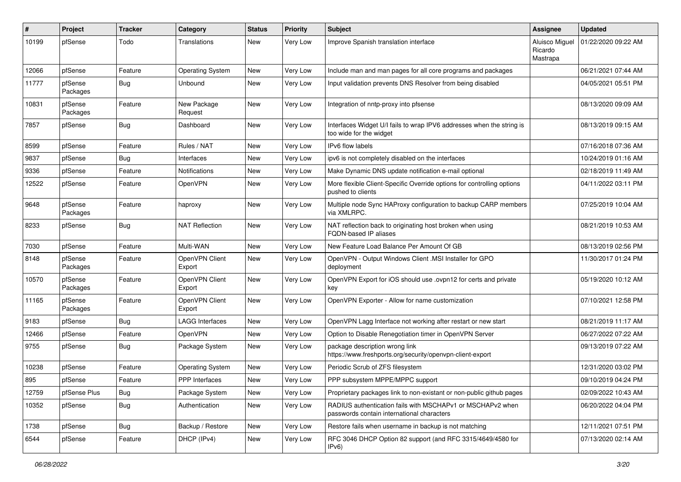| #     | Project             | <b>Tracker</b> | Category                 | <b>Status</b> | <b>Priority</b> | <b>Subject</b>                                                                                           | Assignee                              | <b>Updated</b>      |
|-------|---------------------|----------------|--------------------------|---------------|-----------------|----------------------------------------------------------------------------------------------------------|---------------------------------------|---------------------|
| 10199 | pfSense             | Todo           | Translations             | New           | Very Low        | Improve Spanish translation interface                                                                    | Aluisco Miguel<br>Ricardo<br>Mastrapa | 01/22/2020 09:22 AM |
| 12066 | pfSense             | Feature        | <b>Operating System</b>  | <b>New</b>    | Very Low        | Include man and man pages for all core programs and packages                                             |                                       | 06/21/2021 07:44 AM |
| 11777 | pfSense<br>Packages | Bug            | Unbound                  | <b>New</b>    | Very Low        | Input validation prevents DNS Resolver from being disabled                                               |                                       | 04/05/2021 05:51 PM |
| 10831 | pfSense<br>Packages | Feature        | New Package<br>Request   | New           | Very Low        | Integration of nntp-proxy into pfsense                                                                   |                                       | 08/13/2020 09:09 AM |
| 7857  | pfSense             | Bug            | Dashboard                | <b>New</b>    | Very Low        | Interfaces Widget U/I fails to wrap IPV6 addresses when the string is<br>too wide for the widget         |                                       | 08/13/2019 09:15 AM |
| 8599  | pfSense             | Feature        | Rules / NAT              | <b>New</b>    | Very Low        | IPv6 flow labels                                                                                         |                                       | 07/16/2018 07:36 AM |
| 9837  | pfSense             | Bug            | Interfaces               | <b>New</b>    | Very Low        | ipv6 is not completely disabled on the interfaces                                                        |                                       | 10/24/2019 01:16 AM |
| 9336  | pfSense             | Feature        | <b>Notifications</b>     | <b>New</b>    | Very Low        | Make Dynamic DNS update notification e-mail optional                                                     |                                       | 02/18/2019 11:49 AM |
| 12522 | pfSense             | Feature        | OpenVPN                  | New           | Very Low        | More flexible Client-Specific Override options for controlling options<br>pushed to clients              |                                       | 04/11/2022 03:11 PM |
| 9648  | pfSense<br>Packages | Feature        | haproxy                  | <b>New</b>    | Very Low        | Multiple node Sync HAProxy configuration to backup CARP members<br>via XMLRPC.                           |                                       | 07/25/2019 10:04 AM |
| 8233  | pfSense             | <b>Bug</b>     | <b>NAT Reflection</b>    | New           | Very Low        | NAT reflection back to originating host broken when using<br><b>FQDN-based IP aliases</b>                |                                       | 08/21/2019 10:53 AM |
| 7030  | pfSense             | Feature        | Multi-WAN                | <b>New</b>    | Very Low        | New Feature Load Balance Per Amount Of GB                                                                |                                       | 08/13/2019 02:56 PM |
| 8148  | pfSense<br>Packages | Feature        | OpenVPN Client<br>Export | New           | Very Low        | OpenVPN - Output Windows Client .MSI Installer for GPO<br>deployment                                     |                                       | 11/30/2017 01:24 PM |
| 10570 | pfSense<br>Packages | Feature        | OpenVPN Client<br>Export | <b>New</b>    | Very Low        | OpenVPN Export for iOS should use .ovpn12 for certs and private<br>key                                   |                                       | 05/19/2020 10:12 AM |
| 11165 | pfSense<br>Packages | Feature        | OpenVPN Client<br>Export | New           | Very Low        | OpenVPN Exporter - Allow for name customization                                                          |                                       | 07/10/2021 12:58 PM |
| 9183  | pfSense             | Bug            | <b>LAGG Interfaces</b>   | <b>New</b>    | Very Low        | OpenVPN Lagg Interface not working after restart or new start                                            |                                       | 08/21/2019 11:17 AM |
| 12466 | pfSense             | Feature        | OpenVPN                  | New           | Very Low        | Option to Disable Renegotiation timer in OpenVPN Server                                                  |                                       | 06/27/2022 07:22 AM |
| 9755  | pfSense             | Bug            | Package System           | New           | Very Low        | package description wrong link<br>https://www.freshports.org/security/openvpn-client-export              |                                       | 09/13/2019 07:22 AM |
| 10238 | pfSense             | Feature        | <b>Operating System</b>  | <b>New</b>    | Very Low        | Periodic Scrub of ZFS filesystem                                                                         |                                       | 12/31/2020 03:02 PM |
| 895   | pfSense             | Feature        | PPP Interfaces           | New           | Very Low        | PPP subsystem MPPE/MPPC support                                                                          |                                       | 09/10/2019 04:24 PM |
| 12759 | pfSense Plus        | <b>Bug</b>     | Package System           | New           | Very Low        | Proprietary packages link to non-existant or non-public github pages                                     |                                       | 02/09/2022 10:43 AM |
| 10352 | pfSense             | <b>Bug</b>     | Authentication           | New           | Very Low        | RADIUS authentication fails with MSCHAPv1 or MSCHAPv2 when<br>passwords contain international characters |                                       | 06/20/2022 04:04 PM |
| 1738  | pfSense             | <b>Bug</b>     | Backup / Restore         | New           | Very Low        | Restore fails when username in backup is not matching                                                    |                                       | 12/11/2021 07:51 PM |
| 6544  | pfSense             | Feature        | DHCP (IPv4)              | New           | Very Low        | RFC 3046 DHCP Option 82 support (and RFC 3315/4649/4580 for<br>IPv6)                                     |                                       | 07/13/2020 02:14 AM |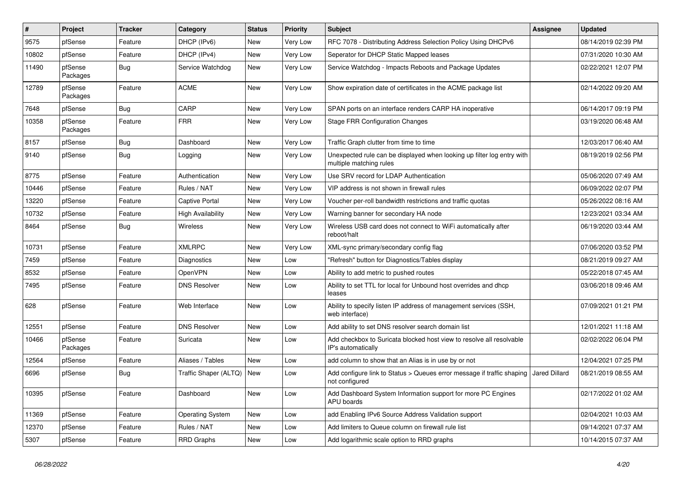| #     | Project             | <b>Tracker</b> | Category                 | <b>Status</b> | <b>Priority</b> | <b>Subject</b>                                                                                    | Assignee      | <b>Updated</b>      |
|-------|---------------------|----------------|--------------------------|---------------|-----------------|---------------------------------------------------------------------------------------------------|---------------|---------------------|
| 9575  | pfSense             | Feature        | DHCP (IPv6)              | New           | Very Low        | RFC 7078 - Distributing Address Selection Policy Using DHCPv6                                     |               | 08/14/2019 02:39 PM |
| 10802 | pfSense             | Feature        | DHCP (IPv4)              | New           | Very Low        | Seperator for DHCP Static Mapped leases                                                           |               | 07/31/2020 10:30 AM |
| 11490 | pfSense<br>Packages | Bug            | Service Watchdog         | New           | Very Low        | Service Watchdog - Impacts Reboots and Package Updates                                            |               | 02/22/2021 12:07 PM |
| 12789 | pfSense<br>Packages | Feature        | <b>ACME</b>              | New           | Very Low        | Show expiration date of certificates in the ACME package list                                     |               | 02/14/2022 09:20 AM |
| 7648  | pfSense             | Bug            | CARP                     | New           | Very Low        | SPAN ports on an interface renders CARP HA inoperative                                            |               | 06/14/2017 09:19 PM |
| 10358 | pfSense<br>Packages | Feature        | <b>FRR</b>               | New           | Very Low        | <b>Stage FRR Configuration Changes</b>                                                            |               | 03/19/2020 06:48 AM |
| 8157  | pfSense             | Bug            | Dashboard                | New           | Very Low        | Traffic Graph clutter from time to time                                                           |               | 12/03/2017 06:40 AM |
| 9140  | pfSense             | Bug            | Logging                  | New           | Very Low        | Unexpected rule can be displayed when looking up filter log entry with<br>multiple matching rules |               | 08/19/2019 02:56 PM |
| 8775  | pfSense             | Feature        | Authentication           | New           | Very Low        | Use SRV record for LDAP Authentication                                                            |               | 05/06/2020 07:49 AM |
| 10446 | pfSense             | Feature        | Rules / NAT              | New           | Very Low        | VIP address is not shown in firewall rules                                                        |               | 06/09/2022 02:07 PM |
| 13220 | pfSense             | Feature        | Captive Portal           | New           | Very Low        | Voucher per-roll bandwidth restrictions and traffic quotas                                        |               | 05/26/2022 08:16 AM |
| 10732 | pfSense             | Feature        | <b>High Availability</b> | New           | Very Low        | Warning banner for secondary HA node                                                              |               | 12/23/2021 03:34 AM |
| 8464  | pfSense             | <b>Bug</b>     | Wireless                 | New           | Very Low        | Wireless USB card does not connect to WiFi automatically after<br>reboot/halt                     |               | 06/19/2020 03:44 AM |
| 10731 | pfSense             | Feature        | <b>XMLRPC</b>            | <b>New</b>    | Very Low        | XML-sync primary/secondary config flag                                                            |               | 07/06/2020 03:52 PM |
| 7459  | pfSense             | Feature        | Diagnostics              | New           | Low             | "Refresh" button for Diagnostics/Tables display                                                   |               | 08/21/2019 09:27 AM |
| 8532  | pfSense             | Feature        | OpenVPN                  | <b>New</b>    | Low             | Ability to add metric to pushed routes                                                            |               | 05/22/2018 07:45 AM |
| 7495  | pfSense             | Feature        | <b>DNS Resolver</b>      | New           | Low             | Ability to set TTL for local for Unbound host overrides and dhcp<br>leases                        |               | 03/06/2018 09:46 AM |
| 628   | pfSense             | Feature        | Web Interface            | <b>New</b>    | Low             | Ability to specify listen IP address of management services (SSH,<br>web interface)               |               | 07/09/2021 01:21 PM |
| 12551 | pfSense             | Feature        | <b>DNS Resolver</b>      | New           | Low             | Add ability to set DNS resolver search domain list                                                |               | 12/01/2021 11:18 AM |
| 10466 | pfSense<br>Packages | Feature        | Suricata                 | New           | Low             | Add checkbox to Suricata blocked host view to resolve all resolvable<br>IP's automatically        |               | 02/02/2022 06:04 PM |
| 12564 | pfSense             | Feature        | Aliases / Tables         | <b>New</b>    | Low             | add column to show that an Alias is in use by or not                                              |               | 12/04/2021 07:25 PM |
| 6696  | pfSense             | Bug            | Traffic Shaper (ALTQ)    | New           | Low             | Add configure link to Status > Queues error message if traffic shaping<br>not configured          | Jared Dillard | 08/21/2019 08:55 AM |
| 10395 | pfSense             | Feature        | Dashboard                | New           | Low             | Add Dashboard System Information support for more PC Engines<br>APU boards                        |               | 02/17/2022 01:02 AM |
| 11369 | pfSense             | Feature        | <b>Operating System</b>  | New           | Low             | add Enabling IPv6 Source Address Validation support                                               |               | 02/04/2021 10:03 AM |
| 12370 | pfSense             | Feature        | Rules / NAT              | New           | Low             | Add limiters to Queue column on firewall rule list                                                |               | 09/14/2021 07:37 AM |
| 5307  | pfSense             | Feature        | RRD Graphs               | New           | Low             | Add logarithmic scale option to RRD graphs                                                        |               | 10/14/2015 07:37 AM |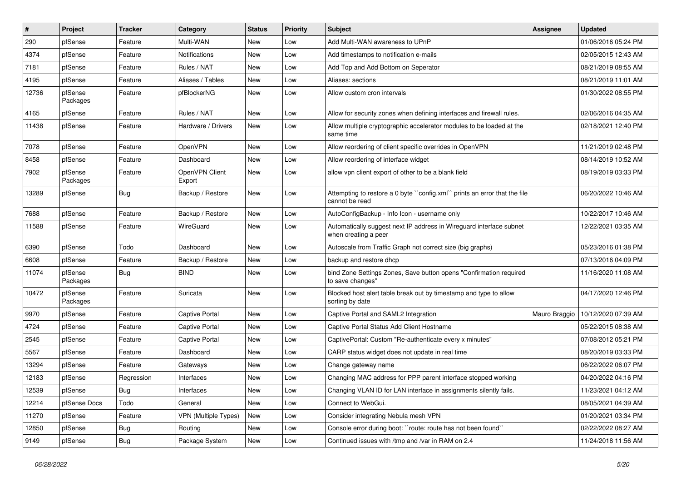| #     | Project             | <b>Tracker</b> | Category                 | <b>Status</b> | <b>Priority</b> | <b>Subject</b>                                                                              | <b>Assignee</b> | <b>Updated</b>      |
|-------|---------------------|----------------|--------------------------|---------------|-----------------|---------------------------------------------------------------------------------------------|-----------------|---------------------|
| 290   | pfSense             | Feature        | Multi-WAN                | <b>New</b>    | Low             | Add Multi-WAN awareness to UPnP                                                             |                 | 01/06/2016 05:24 PM |
| 4374  | pfSense             | Feature        | Notifications            | <b>New</b>    | Low             | Add timestamps to notification e-mails                                                      |                 | 02/05/2015 12:43 AM |
| 7181  | pfSense             | Feature        | Rules / NAT              | <b>New</b>    | Low             | Add Top and Add Bottom on Seperator                                                         |                 | 08/21/2019 08:55 AM |
| 4195  | pfSense             | Feature        | Aliases / Tables         | <b>New</b>    | Low             | Aliases: sections                                                                           |                 | 08/21/2019 11:01 AM |
| 12736 | pfSense<br>Packages | Feature        | pfBlockerNG              | <b>New</b>    | Low             | Allow custom cron intervals                                                                 |                 | 01/30/2022 08:55 PM |
| 4165  | pfSense             | Feature        | Rules / NAT              | <b>New</b>    | Low             | Allow for security zones when defining interfaces and firewall rules.                       |                 | 02/06/2016 04:35 AM |
| 11438 | pfSense             | Feature        | Hardware / Drivers       | <b>New</b>    | Low             | Allow multiple cryptographic accelerator modules to be loaded at the<br>same time           |                 | 02/18/2021 12:40 PM |
| 7078  | pfSense             | Feature        | OpenVPN                  | <b>New</b>    | Low             | Allow reordering of client specific overrides in OpenVPN                                    |                 | 11/21/2019 02:48 PM |
| 8458  | pfSense             | Feature        | Dashboard                | <b>New</b>    | Low             | Allow reordering of interface widget                                                        |                 | 08/14/2019 10:52 AM |
| 7902  | pfSense<br>Packages | Feature        | OpenVPN Client<br>Export | <b>New</b>    | Low             | allow vpn client export of other to be a blank field                                        |                 | 08/19/2019 03:33 PM |
| 13289 | pfSense             | Bug            | Backup / Restore         | <b>New</b>    | Low             | Attempting to restore a 0 byte "config.xml" prints an error that the file<br>cannot be read |                 | 06/20/2022 10:46 AM |
| 7688  | pfSense             | Feature        | Backup / Restore         | <b>New</b>    | Low             | AutoConfigBackup - Info Icon - username only                                                |                 | 10/22/2017 10:46 AM |
| 11588 | pfSense             | Feature        | WireGuard                | <b>New</b>    | Low             | Automatically suggest next IP address in Wireguard interface subnet<br>when creating a peer |                 | 12/22/2021 03:35 AM |
| 6390  | pfSense             | Todo           | Dashboard                | <b>New</b>    | Low             | Autoscale from Traffic Graph not correct size (big graphs)                                  |                 | 05/23/2016 01:38 PM |
| 6608  | pfSense             | Feature        | Backup / Restore         | <b>New</b>    | Low             | backup and restore dhcp                                                                     |                 | 07/13/2016 04:09 PM |
| 11074 | pfSense<br>Packages | Bug            | <b>BIND</b>              | <b>New</b>    | Low             | bind Zone Settings Zones, Save button opens "Confirmation required<br>to save changes"      |                 | 11/16/2020 11:08 AM |
| 10472 | pfSense<br>Packages | Feature        | Suricata                 | <b>New</b>    | Low             | Blocked host alert table break out by timestamp and type to allow<br>sorting by date        |                 | 04/17/2020 12:46 PM |
| 9970  | pfSense             | Feature        | Captive Portal           | <b>New</b>    | Low             | Captive Portal and SAML2 Integration                                                        | Mauro Braggio   | 10/12/2020 07:39 AM |
| 4724  | pfSense             | Feature        | Captive Portal           | <b>New</b>    | Low             | Captive Portal Status Add Client Hostname                                                   |                 | 05/22/2015 08:38 AM |
| 2545  | pfSense             | Feature        | Captive Portal           | <b>New</b>    | Low             | CaptivePortal: Custom "Re-authenticate every x minutes"                                     |                 | 07/08/2012 05:21 PM |
| 5567  | pfSense             | Feature        | Dashboard                | <b>New</b>    | Low             | CARP status widget does not update in real time                                             |                 | 08/20/2019 03:33 PM |
| 13294 | pfSense             | Feature        | Gateways                 | New           | Low             | Change gateway name                                                                         |                 | 06/22/2022 06:07 PM |
| 12183 | pfSense             | Regression     | Interfaces               | <b>New</b>    | Low             | Changing MAC address for PPP parent interface stopped working                               |                 | 04/20/2022 04:16 PM |
| 12539 | pfSense             | <b>Bug</b>     | Interfaces               | New           | Low             | Changing VLAN ID for LAN interface in assignments silently fails.                           |                 | 11/23/2021 04:12 AM |
| 12214 | pfSense Docs        | Todo           | General                  | New           | Low             | Connect to WebGui.                                                                          |                 | 08/05/2021 04:39 AM |
| 11270 | pfSense             | Feature        | VPN (Multiple Types)     | New           | Low             | Consider integrating Nebula mesh VPN                                                        |                 | 01/20/2021 03:34 PM |
| 12850 | pfSense             | <b>Bug</b>     | Routing                  | New           | Low             | Console error during boot: "route: route has not been found"                                |                 | 02/22/2022 08:27 AM |
| 9149  | pfSense             | <b>Bug</b>     | Package System           | New           | Low             | Continued issues with /tmp and /var in RAM on 2.4                                           |                 | 11/24/2018 11:56 AM |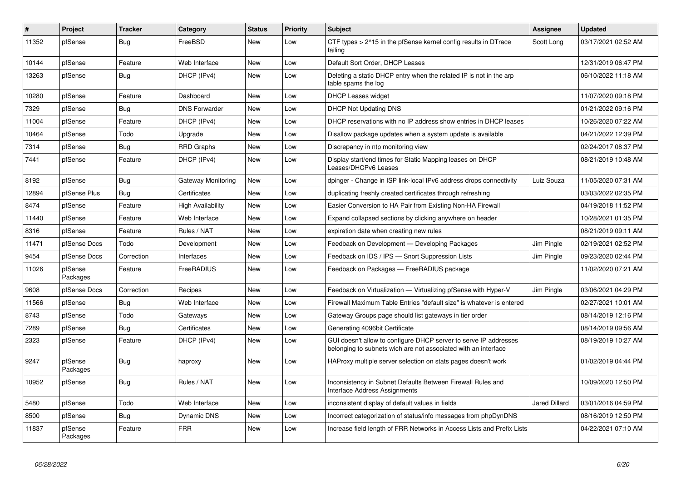| #     | Project             | <b>Tracker</b> | Category                 | <b>Status</b> | <b>Priority</b> | <b>Subject</b>                                                                                                                     | <b>Assignee</b>      | <b>Updated</b>      |
|-------|---------------------|----------------|--------------------------|---------------|-----------------|------------------------------------------------------------------------------------------------------------------------------------|----------------------|---------------------|
| 11352 | pfSense             | Bug            | FreeBSD                  | New           | Low             | CTF types $> 215$ in the pfSense kernel config results in DTrace<br>failing                                                        | Scott Long           | 03/17/2021 02:52 AM |
| 10144 | pfSense             | Feature        | Web Interface            | <b>New</b>    | Low             | Default Sort Order, DHCP Leases                                                                                                    |                      | 12/31/2019 06:47 PM |
| 13263 | pfSense             | Bug            | DHCP (IPv4)              | New           | Low             | Deleting a static DHCP entry when the related IP is not in the arp<br>table spams the log                                          |                      | 06/10/2022 11:18 AM |
| 10280 | pfSense             | Feature        | Dashboard                | New           | Low             | <b>DHCP Leases widget</b>                                                                                                          |                      | 11/07/2020 09:18 PM |
| 7329  | pfSense             | <b>Bug</b>     | <b>DNS Forwarder</b>     | New           | Low             | <b>DHCP Not Updating DNS</b>                                                                                                       |                      | 01/21/2022 09:16 PM |
| 11004 | pfSense             | Feature        | DHCP (IPv4)              | New           | Low             | DHCP reservations with no IP address show entries in DHCP leases                                                                   |                      | 10/26/2020 07:22 AM |
| 10464 | pfSense             | Todo           | Upgrade                  | New           | Low             | Disallow package updates when a system update is available                                                                         |                      | 04/21/2022 12:39 PM |
| 7314  | pfSense             | <b>Bug</b>     | RRD Graphs               | New           | Low             | Discrepancy in ntp monitoring view                                                                                                 |                      | 02/24/2017 08:37 PM |
| 7441  | pfSense             | Feature        | DHCP (IPv4)              | New           | Low             | Display start/end times for Static Mapping leases on DHCP<br>Leases/DHCPv6 Leases                                                  |                      | 08/21/2019 10:48 AM |
| 8192  | pfSense             | <b>Bug</b>     | Gateway Monitoring       | New           | Low             | dpinger - Change in ISP link-local IPv6 address drops connectivity                                                                 | Luiz Souza           | 11/05/2020 07:31 AM |
| 12894 | pfSense Plus        | <b>Bug</b>     | Certificates             | New           | Low             | duplicating freshly created certificates through refreshing                                                                        |                      | 03/03/2022 02:35 PM |
| 8474  | pfSense             | Feature        | <b>High Availability</b> | New           | Low             | Easier Conversion to HA Pair from Existing Non-HA Firewall                                                                         |                      | 04/19/2018 11:52 PM |
| 11440 | pfSense             | Feature        | Web Interface            | New           | Low             | Expand collapsed sections by clicking anywhere on header                                                                           |                      | 10/28/2021 01:35 PM |
| 8316  | pfSense             | Feature        | Rules / NAT              | New           | Low             | expiration date when creating new rules                                                                                            |                      | 08/21/2019 09:11 AM |
| 11471 | pfSense Docs        | Todo           | Development              | New           | Low             | Feedback on Development - Developing Packages                                                                                      | Jim Pingle           | 02/19/2021 02:52 PM |
| 9454  | pfSense Docs        | Correction     | Interfaces               | New           | Low             | Feedback on IDS / IPS - Snort Suppression Lists                                                                                    | Jim Pingle           | 09/23/2020 02:44 PM |
| 11026 | pfSense<br>Packages | Feature        | FreeRADIUS               | New           | Low             | Feedback on Packages - FreeRADIUS package                                                                                          |                      | 11/02/2020 07:21 AM |
| 9608  | pfSense Docs        | Correction     | Recipes                  | <b>New</b>    | Low             | Feedback on Virtualization - Virtualizing pfSense with Hyper-V                                                                     | Jim Pingle           | 03/06/2021 04:29 PM |
| 11566 | pfSense             | Bug            | Web Interface            | New           | Low             | Firewall Maximum Table Entries "default size" is whatever is entered                                                               |                      | 02/27/2021 10:01 AM |
| 8743  | pfSense             | Todo           | Gateways                 | New           | Low             | Gateway Groups page should list gateways in tier order                                                                             |                      | 08/14/2019 12:16 PM |
| 7289  | pfSense             | <b>Bug</b>     | Certificates             | New           | Low             | Generating 4096bit Certificate                                                                                                     |                      | 08/14/2019 09:56 AM |
| 2323  | pfSense             | Feature        | DHCP (IPv4)              | New           | Low             | GUI doesn't allow to configure DHCP server to serve IP addresses<br>belonging to subnets wich are not associated with an interface |                      | 08/19/2019 10:27 AM |
| 9247  | pfSense<br>Packages | <b>Bug</b>     | haproxy                  | New           | Low             | HAProxy multiple server selection on stats pages doesn't work                                                                      |                      | 01/02/2019 04:44 PM |
| 10952 | pfSense             | <b>Bug</b>     | Rules / NAT              | New           | Low             | Inconsistency in Subnet Defaults Between Firewall Rules and<br>Interface Address Assignments                                       |                      | 10/09/2020 12:50 PM |
| 5480  | pfSense             | Todo           | Web Interface            | New           | Low             | inconsistent display of default values in fields                                                                                   | <b>Jared Dillard</b> | 03/01/2016 04:59 PM |
| 8500  | pfSense             | Bug            | <b>Dynamic DNS</b>       | New           | Low             | Incorrect categorization of status/info messages from phpDynDNS                                                                    |                      | 08/16/2019 12:50 PM |
| 11837 | pfSense<br>Packages | Feature        | <b>FRR</b>               | New           | Low             | Increase field length of FRR Networks in Access Lists and Prefix Lists                                                             |                      | 04/22/2021 07:10 AM |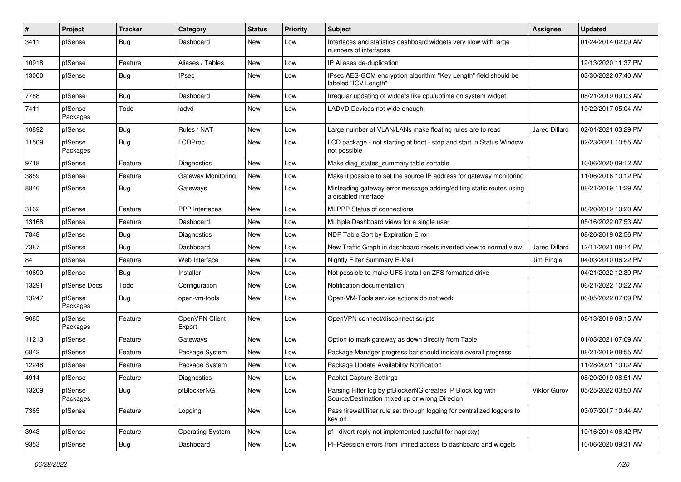| ∦     | Project             | <b>Tracker</b> | Category                  | <b>Status</b> | <b>Priority</b> | Subject                                                                                                      | Assignee             | <b>Updated</b>      |
|-------|---------------------|----------------|---------------------------|---------------|-----------------|--------------------------------------------------------------------------------------------------------------|----------------------|---------------------|
| 3411  | pfSense             | <b>Bug</b>     | Dashboard                 | New           | Low             | Interfaces and statistics dashboard widgets very slow with large<br>numbers of interfaces                    |                      | 01/24/2014 02:09 AM |
| 10918 | pfSense             | Feature        | Aliases / Tables          | New           | Low             | IP Aliases de-duplication                                                                                    |                      | 12/13/2020 11:37 PM |
| 13000 | pfSense             | <b>Bug</b>     | <b>IPsec</b>              | New           | Low             | IPsec AES-GCM encryption algorithm "Key Length" field should be<br>labeled "ICV Length"                      |                      | 03/30/2022 07:40 AM |
| 7788  | pfSense             | Bug            | Dashboard                 | New           | Low             | Irregular updating of widgets like cpu/uptime on system widget.                                              |                      | 08/21/2019 09:03 AM |
| 7411  | pfSense<br>Packages | Todo           | ladvd                     | New           | Low             | LADVD Devices not wide enough                                                                                |                      | 10/22/2017 05:04 AM |
| 10892 | pfSense             | Bug            | Rules / NAT               | New           | Low             | Large number of VLAN/LANs make floating rules are to read                                                    | <b>Jared Dillard</b> | 02/01/2021 03:29 PM |
| 11509 | pfSense<br>Packages | Bug            | <b>LCDProc</b>            | New           | Low             | LCD package - not starting at boot - stop and start in Status Window<br>not possible                         |                      | 02/23/2021 10:55 AM |
| 9718  | pfSense             | Feature        | <b>Diagnostics</b>        | <b>New</b>    | Low             | Make diag_states_summary table sortable                                                                      |                      | 10/06/2020 09:12 AM |
| 3859  | pfSense             | Feature        | <b>Gateway Monitoring</b> | New           | Low             | Make it possible to set the source IP address for gateway monitoring                                         |                      | 11/06/2016 10:12 PM |
| 8846  | pfSense             | Bug            | Gateways                  | New           | Low             | Misleading gateway error message adding/editing static routes using<br>a disabled interface                  |                      | 08/21/2019 11:29 AM |
| 3162  | pfSense             | Feature        | PPP Interfaces            | <b>New</b>    | Low             | <b>MLPPP Status of connections</b>                                                                           |                      | 08/20/2019 10:20 AM |
| 13168 | pfSense             | Feature        | Dashboard                 | New           | Low             | Multiple Dashboard views for a single user                                                                   |                      | 05/16/2022 07:53 AM |
| 7848  | pfSense             | <b>Bug</b>     | <b>Diagnostics</b>        | New           | Low             | NDP Table Sort by Expiration Error                                                                           |                      | 08/26/2019 02:56 PM |
| 7387  | pfSense             | <b>Bug</b>     | Dashboard                 | New           | Low             | New Traffic Graph in dashboard resets inverted view to normal view                                           | <b>Jared Dillard</b> | 12/11/2021 08:14 PM |
| 84    | pfSense             | Feature        | Web Interface             | New           | Low             | Nightly Filter Summary E-Mail                                                                                | Jim Pingle           | 04/03/2010 06:22 PM |
| 10690 | pfSense             | Bug            | Installer                 | <b>New</b>    | Low             | Not possible to make UFS install on ZFS formatted drive                                                      |                      | 04/21/2022 12:39 PM |
| 13291 | pfSense Docs        | Todo           | Configuration             | New           | Low             | Notification documentation                                                                                   |                      | 06/21/2022 10:22 AM |
| 13247 | pfSense<br>Packages | <b>Bug</b>     | open-vm-tools             | New           | Low             | Open-VM-Tools service actions do not work                                                                    |                      | 06/05/2022 07:09 PM |
| 9085  | pfSense<br>Packages | Feature        | OpenVPN Client<br>Export  | New           | Low             | OpenVPN connect/disconnect scripts                                                                           |                      | 08/13/2019 09:15 AM |
| 11213 | pfSense             | Feature        | Gateways                  | New           | Low             | Option to mark gateway as down directly from Table                                                           |                      | 01/03/2021 07:09 AM |
| 6842  | pfSense             | Feature        | Package System            | New           | Low             | Package Manager progress bar should indicate overall progress                                                |                      | 08/21/2019 08:55 AM |
| 12248 | pfSense             | Feature        | Package System            | New           | Low             | Package Update Availability Notification                                                                     |                      | 11/28/2021 10:02 AM |
| 4914  | pfSense             | Feature        | <b>Diagnostics</b>        | New           | Low             | <b>Packet Capture Settings</b>                                                                               |                      | 08/20/2019 08:51 AM |
| 13209 | pfSense<br>Packages | <b>Bug</b>     | pfBlockerNG               | New           | Low             | Parsing Filter log by pfBlockerNG creates IP Block log with<br>Source/Destination mixed up or wrong Direcion | Viktor Gurov         | 05/25/2022 03:50 AM |
| 7365  | pfSense             | Feature        | Logging                   | New           | Low             | Pass firewall/filter rule set through logging for centralized loggers to<br>key on                           |                      | 03/07/2017 10:44 AM |
| 3943  | pfSense             | Feature        | <b>Operating System</b>   | New           | Low             | pf - divert-reply not implemented (usefull for haproxy)                                                      |                      | 10/16/2014 06:42 PM |
| 9353  | pfSense             | <b>Bug</b>     | Dashboard                 | New           | Low             | PHPSession errors from limited access to dashboard and widgets                                               |                      | 10/06/2020 09:31 AM |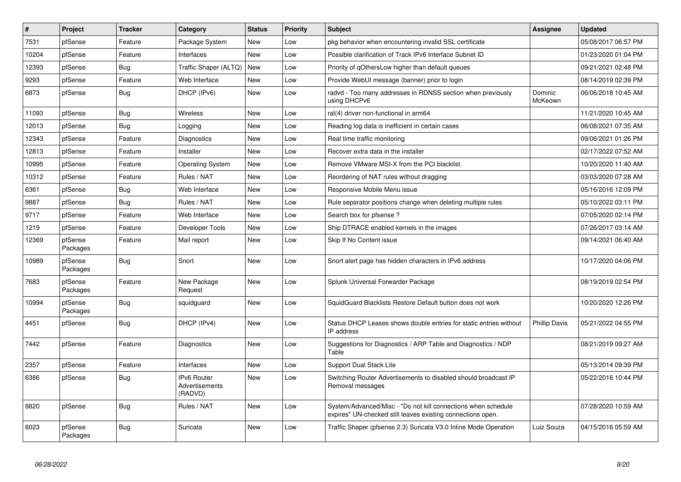| #     | Project             | <b>Tracker</b> | Category                                        | <b>Status</b> | <b>Priority</b> | <b>Subject</b>                                                                                                               | Assignee             | <b>Updated</b>      |
|-------|---------------------|----------------|-------------------------------------------------|---------------|-----------------|------------------------------------------------------------------------------------------------------------------------------|----------------------|---------------------|
| 7531  | pfSense             | Feature        | Package System                                  | New           | Low             | pkg behavior when encountering invalid SSL certificate                                                                       |                      | 05/08/2017 06:57 PM |
| 10204 | pfSense             | Feature        | Interfaces                                      | <b>New</b>    | Low             | Possible clarification of Track IPv6 Interface Subnet ID                                                                     |                      | 01/23/2020 01:04 PM |
| 12393 | pfSense             | <b>Bug</b>     | Traffic Shaper (ALTQ)                           | <b>New</b>    | Low             | Priority of gOthersLow higher than default queues                                                                            |                      | 09/21/2021 02:48 PM |
| 9293  | pfSense             | Feature        | Web Interface                                   | <b>New</b>    | Low             | Provide WebUI message (banner) prior to login                                                                                |                      | 08/14/2019 02:39 PM |
| 6873  | pfSense             | <b>Bug</b>     | DHCP (IPv6)                                     | <b>New</b>    | Low             | radvd - Too many addresses in RDNSS section when previously<br>using DHCPv6                                                  | Dominic<br>McKeown   | 06/06/2018 10:45 AM |
| 11093 | pfSense             | Bug            | Wireless                                        | New           | Low             | ral(4) driver non-functional in arm64                                                                                        |                      | 11/21/2020 10:45 AM |
| 12013 | pfSense             | <b>Bug</b>     | Logging                                         | New           | Low             | Reading log data is inefficient in certain cases                                                                             |                      | 06/08/2021 07:35 AM |
| 12343 | pfSense             | Feature        | Diagnostics                                     | New           | Low             | Real time traffic monitoring                                                                                                 |                      | 09/06/2021 01:26 PM |
| 12813 | pfSense             | Feature        | Installer                                       | New           | Low             | Recover extra data in the installer                                                                                          |                      | 02/17/2022 07:52 AM |
| 10995 | pfSense             | Feature        | <b>Operating System</b>                         | New           | Low             | Remove VMware MSI-X from the PCI blacklist.                                                                                  |                      | 10/20/2020 11:40 AM |
| 10312 | pfSense             | Feature        | Rules / NAT                                     | New           | Low             | Reordering of NAT rules without dragging                                                                                     |                      | 03/03/2020 07:28 AM |
| 6361  | pfSense             | Bug            | Web Interface                                   | New           | Low             | Responsive Mobile Menu issue                                                                                                 |                      | 05/16/2016 12:09 PM |
| 9887  | pfSense             | Bug            | Rules / NAT                                     | New           | Low             | Rule separator positions change when deleting multiple rules                                                                 |                      | 05/10/2022 03:11 PM |
| 9717  | pfSense             | Feature        | Web Interface                                   | New           | Low             | Search box for pfsense?                                                                                                      |                      | 07/05/2020 02:14 PM |
| 1219  | pfSense             | Feature        | Developer Tools                                 | New           | Low             | Ship DTRACE enabled kernels in the images                                                                                    |                      | 07/26/2017 03:14 AM |
| 12369 | pfSense<br>Packages | Feature        | Mail report                                     | New           | Low             | Skip If No Content issue                                                                                                     |                      | 09/14/2021 06:40 AM |
| 10989 | pfSense<br>Packages | <b>Bug</b>     | Snort                                           | New           | Low             | Snort alert page has hidden characters in IPv6 address                                                                       |                      | 10/17/2020 04:06 PM |
| 7683  | pfSense<br>Packages | Feature        | New Package<br>Request                          | <b>New</b>    | Low             | Splunk Universal Forwarder Package                                                                                           |                      | 08/19/2019 02:54 PM |
| 10994 | pfSense<br>Packages | <b>Bug</b>     | squidguard                                      | New           | Low             | SquidGuard Blacklists Restore Default button does not work                                                                   |                      | 10/20/2020 12:26 PM |
| 4451  | pfSense             | <b>Bug</b>     | DHCP (IPv4)                                     | <b>New</b>    | Low             | Status DHCP Leases shows double entries for static entries without<br>IP address                                             | <b>Phillip Davis</b> | 05/21/2022 04:55 PM |
| 7442  | pfSense             | Feature        | Diagnostics                                     | New           | Low             | Suggestions for Diagnostics / ARP Table and Diagnostics / NDP<br>Table                                                       |                      | 08/21/2019 09:27 AM |
| 2357  | pfSense             | Feature        | Interfaces                                      | New           | Low             | <b>Support Dual Stack Lite</b>                                                                                               |                      | 05/13/2014 09:39 PM |
| 6386  | pfSense             | <b>Bug</b>     | <b>IPv6 Router</b><br>Advertisements<br>(RADVD) | New           | Low             | Switching Router Advertisements to disabled should broadcast IP<br>Removal messages                                          |                      | 05/22/2016 10:44 PM |
| 8820  | pfSense             | <b>Bug</b>     | Rules / NAT                                     | New           | Low             | System/Advanced/Misc - "Do not kill connections when schedule<br>expires" UN-checked still leaves existing connections open. |                      | 07/28/2020 10:59 AM |
| 6023  | pfSense<br>Packages | Bug            | Suricata                                        | <b>New</b>    | Low             | Traffic Shaper (pfsense 2.3) Suricata V3.0 Inline Mode Operation                                                             | Luiz Souza           | 04/15/2016 05:59 AM |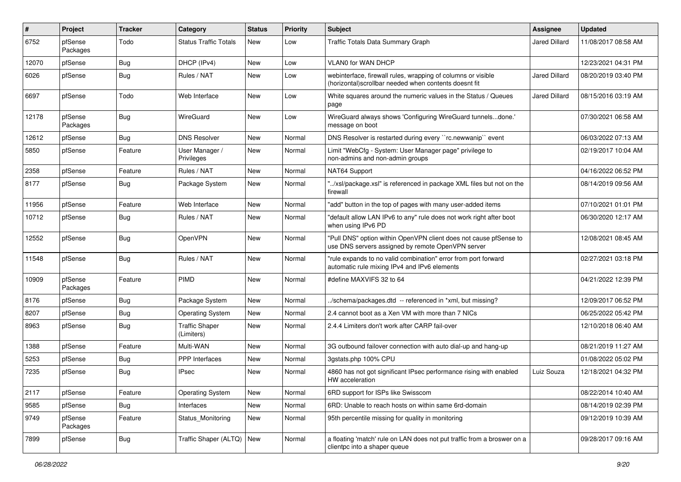| $\vert$ # | Project             | <b>Tracker</b> | Category                            | <b>Status</b> | <b>Priority</b> | <b>Subject</b>                                                                                                         | Assignee             | <b>Updated</b>      |
|-----------|---------------------|----------------|-------------------------------------|---------------|-----------------|------------------------------------------------------------------------------------------------------------------------|----------------------|---------------------|
| 6752      | pfSense<br>Packages | Todo           | <b>Status Traffic Totals</b>        | New           | Low             | Traffic Totals Data Summary Graph                                                                                      | Jared Dillard        | 11/08/2017 08:58 AM |
| 12070     | pfSense             | Bug            | DHCP (IPv4)                         | <b>New</b>    | Low             | <b>VLAN0 for WAN DHCP</b>                                                                                              |                      | 12/23/2021 04:31 PM |
| 6026      | pfSense             | Bug            | Rules / NAT                         | New           | Low             | webinterface, firewall rules, wrapping of columns or visible<br>(horizontal) scrollbar needed when contents doesnt fit | <b>Jared Dillard</b> | 08/20/2019 03:40 PM |
| 6697      | pfSense             | Todo           | Web Interface                       | <b>New</b>    | Low             | White squares around the numeric values in the Status / Queues<br>page                                                 | Jared Dillard        | 08/15/2016 03:19 AM |
| 12178     | pfSense<br>Packages | Bug            | WireGuard                           | <b>New</b>    | Low             | WireGuard always shows 'Configuring WireGuard tunnelsdone.'<br>message on boot                                         |                      | 07/30/2021 06:58 AM |
| 12612     | pfSense             | Bug            | <b>DNS Resolver</b>                 | <b>New</b>    | Normal          | DNS Resolver is restarted during every "rc.newwanip" event                                                             |                      | 06/03/2022 07:13 AM |
| 5850      | pfSense             | Feature        | User Manager /<br>Privileges        | New           | Normal          | Limit "WebCfg - System: User Manager page" privilege to<br>non-admins and non-admin groups                             |                      | 02/19/2017 10:04 AM |
| 2358      | pfSense             | Feature        | Rules / NAT                         | <b>New</b>    | Normal          | NAT64 Support                                                                                                          |                      | 04/16/2022 06:52 PM |
| 8177      | pfSense             | Bug            | Package System                      | New           | Normal          | "/xsl/package.xsl" is referenced in package XML files but not on the<br>firewall                                       |                      | 08/14/2019 09:56 AM |
| 11956     | pfSense             | Feature        | Web Interface                       | <b>New</b>    | Normal          | "add" button in the top of pages with many user-added items                                                            |                      | 07/10/2021 01:01 PM |
| 10712     | pfSense             | Bug            | Rules / NAT                         | <b>New</b>    | Normal          | "default allow LAN IPv6 to any" rule does not work right after boot<br>when using IPv6 PD                              |                      | 06/30/2020 12:17 AM |
| 12552     | pfSense             | Bug            | OpenVPN                             | <b>New</b>    | Normal          | "Pull DNS" option within OpenVPN client does not cause pfSense to<br>use DNS servers assigned by remote OpenVPN server |                      | 12/08/2021 08:45 AM |
| 11548     | pfSense             | <b>Bug</b>     | Rules / NAT                         | <b>New</b>    | Normal          | "rule expands to no valid combination" error from port forward<br>automatic rule mixing IPv4 and IPv6 elements         |                      | 02/27/2021 03:18 PM |
| 10909     | pfSense<br>Packages | Feature        | PIMD                                | <b>New</b>    | Normal          | #define MAXVIFS 32 to 64                                                                                               |                      | 04/21/2022 12:39 PM |
| 8176      | pfSense             | Bug            | Package System                      | New           | Normal          | /schema/packages.dtd -- referenced in *xml, but missing?                                                               |                      | 12/09/2017 06:52 PM |
| 8207      | pfSense             | Bug            | <b>Operating System</b>             | New           | Normal          | 2.4 cannot boot as a Xen VM with more than 7 NICs                                                                      |                      | 06/25/2022 05:42 PM |
| 8963      | pfSense             | Bug            | <b>Traffic Shaper</b><br>(Limiters) | New           | Normal          | 2.4.4 Limiters don't work after CARP fail-over                                                                         |                      | 12/10/2018 06:40 AM |
| 1388      | pfSense             | Feature        | Multi-WAN                           | <b>New</b>    | Normal          | 3G outbound failover connection with auto dial-up and hang-up                                                          |                      | 08/21/2019 11:27 AM |
| 5253      | pfSense             | <b>Bug</b>     | <b>PPP</b> Interfaces               | <b>New</b>    | Normal          | 3gstats.php 100% CPU                                                                                                   |                      | 01/08/2022 05:02 PM |
| 7235      | pfSense             | Bug            | <b>IPsec</b>                        | <b>New</b>    | Normal          | 4860 has not got significant IPsec performance rising with enabled<br>HW acceleration                                  | Luiz Souza           | 12/18/2021 04:32 PM |
| 2117      | pfSense             | Feature        | <b>Operating System</b>             | New           | Normal          | 6RD support for ISPs like Swisscom                                                                                     |                      | 08/22/2014 10:40 AM |
| 9585      | pfSense             | <b>Bug</b>     | Interfaces                          | New           | Normal          | 6RD: Unable to reach hosts on within same 6rd-domain                                                                   |                      | 08/14/2019 02:39 PM |
| 9749      | pfSense<br>Packages | Feature        | Status Monitoring                   | New           | Normal          | 95th percentile missing for quality in monitoring                                                                      |                      | 09/12/2019 10:39 AM |
| 7899      | pfSense             | Bug            | Traffic Shaper (ALTQ) New           |               | Normal          | a floating 'match' rule on LAN does not put traffic from a broswer on a<br>clientpc into a shaper queue                |                      | 09/28/2017 09:16 AM |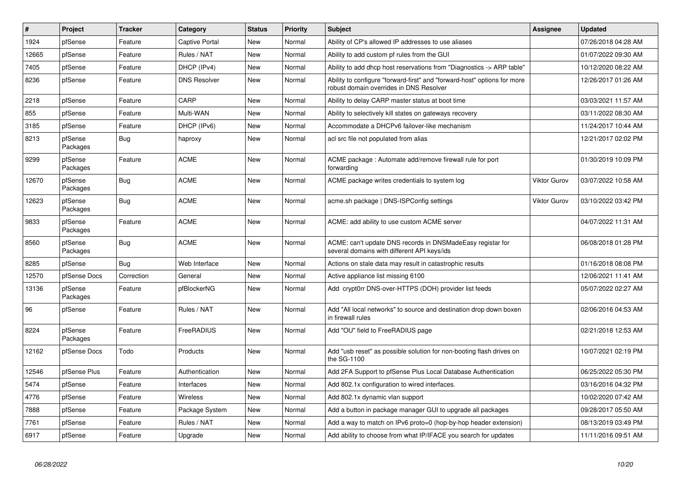| $\vert$ # | Project             | <b>Tracker</b> | Category            | <b>Status</b> | <b>Priority</b> | <b>Subject</b>                                                                                                      | Assignee            | <b>Updated</b>      |
|-----------|---------------------|----------------|---------------------|---------------|-----------------|---------------------------------------------------------------------------------------------------------------------|---------------------|---------------------|
| 1924      | pfSense             | Feature        | Captive Portal      | <b>New</b>    | Normal          | Ability of CP's allowed IP addresses to use aliases                                                                 |                     | 07/26/2018 04:28 AM |
| 12665     | pfSense             | Feature        | Rules / NAT         | <b>New</b>    | Normal          | Ability to add custom pf rules from the GUI                                                                         |                     | 01/07/2022 09:30 AM |
| 7405      | pfSense             | Feature        | DHCP (IPv4)         | <b>New</b>    | Normal          | Ability to add dhcp host reservations from "Diagnostics -> ARP table"                                               |                     | 10/12/2020 08:22 AM |
| 8236      | pfSense             | Feature        | <b>DNS Resolver</b> | New           | Normal          | Ability to configure "forward-first" and "forward-host" options for more<br>robust domain overrides in DNS Resolver |                     | 12/26/2017 01:26 AM |
| 2218      | pfSense             | Feature        | CARP                | <b>New</b>    | Normal          | Ability to delay CARP master status at boot time                                                                    |                     | 03/03/2021 11:57 AM |
| 855       | pfSense             | Feature        | Multi-WAN           | <b>New</b>    | Normal          | Ability to selectively kill states on gateways recovery                                                             |                     | 03/11/2022 08:30 AM |
| 3185      | pfSense             | Feature        | DHCP (IPv6)         | <b>New</b>    | Normal          | Accommodate a DHCPv6 failover-like mechanism                                                                        |                     | 11/24/2017 10:44 AM |
| 8213      | pfSense<br>Packages | Bug            | haproxy             | New           | Normal          | acl src file not populated from alias                                                                               |                     | 12/21/2017 02:02 PM |
| 9299      | pfSense<br>Packages | Feature        | <b>ACME</b>         | <b>New</b>    | Normal          | ACME package: Automate add/remove firewall rule for port<br>forwarding                                              |                     | 01/30/2019 10:09 PM |
| 12670     | pfSense<br>Packages | <b>Bug</b>     | <b>ACME</b>         | <b>New</b>    | Normal          | ACME package writes credentials to system log                                                                       | <b>Viktor Gurov</b> | 03/07/2022 10:58 AM |
| 12623     | pfSense<br>Packages | Bug            | <b>ACME</b>         | <b>New</b>    | Normal          | acme.sh package   DNS-ISPConfig settings                                                                            | Viktor Gurov        | 03/10/2022 03:42 PM |
| 9833      | pfSense<br>Packages | Feature        | <b>ACME</b>         | <b>New</b>    | Normal          | ACME: add ability to use custom ACME server                                                                         |                     | 04/07/2022 11:31 AM |
| 8560      | pfSense<br>Packages | Bug            | <b>ACME</b>         | <b>New</b>    | Normal          | ACME: can't update DNS records in DNSMadeEasy registar for<br>several domains with different API keys/ids           |                     | 06/08/2018 01:28 PM |
| 8285      | pfSense             | Bug            | Web Interface       | <b>New</b>    | Normal          | Actions on stale data may result in catastrophic results                                                            |                     | 01/16/2018 08:08 PM |
| 12570     | pfSense Docs        | Correction     | General             | <b>New</b>    | Normal          | Active appliance list missing 6100                                                                                  |                     | 12/06/2021 11:41 AM |
| 13136     | pfSense<br>Packages | Feature        | pfBlockerNG         | New           | Normal          | Add crypt0rr DNS-over-HTTPS (DOH) provider list feeds                                                               |                     | 05/07/2022 02:27 AM |
| 96        | pfSense             | Feature        | Rules / NAT         | <b>New</b>    | Normal          | Add "All local networks" to source and destination drop down boxen<br>in firewall rules                             |                     | 02/06/2016 04:53 AM |
| 8224      | pfSense<br>Packages | Feature        | FreeRADIUS          | <b>New</b>    | Normal          | Add "OU" field to FreeRADIUS page                                                                                   |                     | 02/21/2018 12:53 AM |
| 12162     | pfSense Docs        | Todo           | Products            | <b>New</b>    | Normal          | Add "usb reset" as possible solution for non-booting flash drives on<br>the SG-1100                                 |                     | 10/07/2021 02:19 PM |
| 12546     | pfSense Plus        | Feature        | Authentication      | <b>New</b>    | Normal          | Add 2FA Support to pfSense Plus Local Database Authentication                                                       |                     | 06/25/2022 05:30 PM |
| 5474      | pfSense             | Feature        | Interfaces          | <b>New</b>    | Normal          | Add 802.1x configuration to wired interfaces.                                                                       |                     | 03/16/2016 04:32 PM |
| 4776      | pfSense             | Feature        | Wireless            | <b>New</b>    | Normal          | Add 802.1x dynamic vlan support                                                                                     |                     | 10/02/2020 07:42 AM |
| 7888      | pfSense             | Feature        | Package System      | New           | Normal          | Add a button in package manager GUI to upgrade all packages                                                         |                     | 09/28/2017 05:50 AM |
| 7761      | pfSense             | Feature        | Rules / NAT         | <b>New</b>    | Normal          | Add a way to match on IPv6 proto=0 (hop-by-hop header extension)                                                    |                     | 08/13/2019 03:49 PM |
| 6917      | pfSense             | Feature        | Upgrade             | <b>New</b>    | Normal          | Add ability to choose from what IP/IFACE you search for updates                                                     |                     | 11/11/2016 09:51 AM |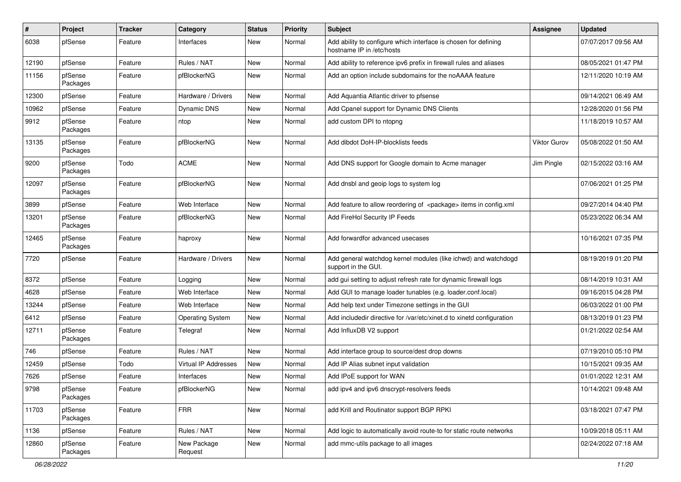| $\vert$ # | Project             | <b>Tracker</b> | Category                | <b>Status</b> | <b>Priority</b> | <b>Subject</b>                                                                               | Assignee     | <b>Updated</b>      |
|-----------|---------------------|----------------|-------------------------|---------------|-----------------|----------------------------------------------------------------------------------------------|--------------|---------------------|
| 6038      | pfSense             | Feature        | Interfaces              | New           | Normal          | Add ability to configure which interface is chosen for defining<br>hostname IP in /etc/hosts |              | 07/07/2017 09:56 AM |
| 12190     | pfSense             | Feature        | Rules / NAT             | <b>New</b>    | Normal          | Add ability to reference ipv6 prefix in firewall rules and aliases                           |              | 08/05/2021 01:47 PM |
| 11156     | pfSense<br>Packages | Feature        | pfBlockerNG             | New           | Normal          | Add an option include subdomains for the noAAAA feature                                      |              | 12/11/2020 10:19 AM |
| 12300     | pfSense             | Feature        | Hardware / Drivers      | <b>New</b>    | Normal          | Add Aquantia Atlantic driver to pfsense                                                      |              | 09/14/2021 06:49 AM |
| 10962     | pfSense             | Feature        | Dynamic DNS             | <b>New</b>    | Normal          | Add Cpanel support for Dynamic DNS Clients                                                   |              | 12/28/2020 01:56 PM |
| 9912      | pfSense<br>Packages | Feature        | ntop                    | <b>New</b>    | Normal          | add custom DPI to ntopng                                                                     |              | 11/18/2019 10:57 AM |
| 13135     | pfSense<br>Packages | Feature        | pfBlockerNG             | New           | Normal          | Add dibdot DoH-IP-blocklists feeds                                                           | Viktor Gurov | 05/08/2022 01:50 AM |
| 9200      | pfSense<br>Packages | Todo           | <b>ACME</b>             | <b>New</b>    | Normal          | Add DNS support for Google domain to Acme manager                                            | Jim Pingle   | 02/15/2022 03:16 AM |
| 12097     | pfSense<br>Packages | Feature        | pfBlockerNG             | <b>New</b>    | Normal          | Add dnsbl and geoip logs to system log                                                       |              | 07/06/2021 01:25 PM |
| 3899      | pfSense             | Feature        | Web Interface           | <b>New</b>    | Normal          | Add feature to allow reordering of <package> items in config.xml</package>                   |              | 09/27/2014 04:40 PM |
| 13201     | pfSense<br>Packages | Feature        | pfBlockerNG             | <b>New</b>    | Normal          | Add FireHol Security IP Feeds                                                                |              | 05/23/2022 06:34 AM |
| 12465     | pfSense<br>Packages | Feature        | haproxy                 | <b>New</b>    | Normal          | Add forwardfor advanced usecases                                                             |              | 10/16/2021 07:35 PM |
| 7720      | pfSense             | Feature        | Hardware / Drivers      | <b>New</b>    | Normal          | Add general watchdog kernel modules (like ichwd) and watchdogd<br>support in the GUI.        |              | 08/19/2019 01:20 PM |
| 8372      | pfSense             | Feature        | Logging                 | <b>New</b>    | Normal          | add gui setting to adjust refresh rate for dynamic firewall logs                             |              | 08/14/2019 10:31 AM |
| 4628      | pfSense             | Feature        | Web Interface           | <b>New</b>    | Normal          | Add GUI to manage loader tunables (e.g. loader.conf.local)                                   |              | 09/16/2015 04:28 PM |
| 13244     | pfSense             | Feature        | Web Interface           | New           | Normal          | Add help text under Timezone settings in the GUI                                             |              | 06/03/2022 01:00 PM |
| 6412      | pfSense             | Feature        | <b>Operating System</b> | <b>New</b>    | Normal          | Add includedir directive for /var/etc/xinet.d to xinetd configuration                        |              | 08/13/2019 01:23 PM |
| 12711     | pfSense<br>Packages | Feature        | Telegraf                | <b>New</b>    | Normal          | Add InfluxDB V2 support                                                                      |              | 01/21/2022 02:54 AM |
| 746       | pfSense             | Feature        | Rules / NAT             | <b>New</b>    | Normal          | Add interface group to source/dest drop downs                                                |              | 07/19/2010 05:10 PM |
| 12459     | pfSense             | Todo           | Virtual IP Addresses    | <b>New</b>    | Normal          | Add IP Alias subnet input validation                                                         |              | 10/15/2021 09:35 AM |
| 7626      | pfSense             | Feature        | Interfaces              | <b>New</b>    | Normal          | Add IPoE support for WAN                                                                     |              | 01/01/2022 12:31 AM |
| 9798      | pfSense<br>Packages | Feature        | pfBlockerNG             | New           | Normal          | add ipv4 and ipv6 dnscrypt-resolvers feeds                                                   |              | 10/14/2021 09:48 AM |
| 11703     | pfSense<br>Packages | Feature        | FRR                     | New           | Normal          | add Krill and Routinator support BGP RPKI                                                    |              | 03/18/2021 07:47 PM |
| 1136      | pfSense             | Feature        | Rules / NAT             | New           | Normal          | Add logic to automatically avoid route-to for static route networks                          |              | 10/09/2018 05:11 AM |
| 12860     | pfSense<br>Packages | Feature        | New Package<br>Request  | New           | Normal          | add mmc-utils package to all images                                                          |              | 02/24/2022 07:18 AM |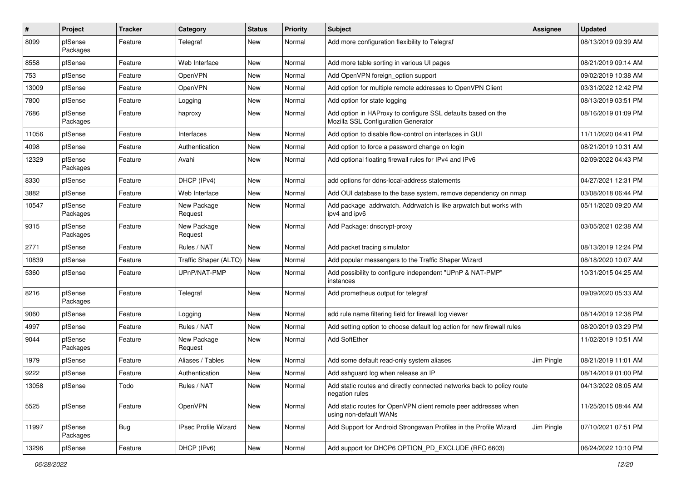| #     | Project             | <b>Tracker</b> | Category               | <b>Status</b> | <b>Priority</b> | <b>Subject</b>                                                                                      | Assignee   | <b>Updated</b>      |
|-------|---------------------|----------------|------------------------|---------------|-----------------|-----------------------------------------------------------------------------------------------------|------------|---------------------|
| 8099  | pfSense<br>Packages | Feature        | Telegraf               | <b>New</b>    | Normal          | Add more configuration flexibility to Telegraf                                                      |            | 08/13/2019 09:39 AM |
| 8558  | pfSense             | Feature        | Web Interface          | New           | Normal          | Add more table sorting in various UI pages                                                          |            | 08/21/2019 09:14 AM |
| 753   | pfSense             | Feature        | OpenVPN                | New           | Normal          | Add OpenVPN foreign option support                                                                  |            | 09/02/2019 10:38 AM |
| 13009 | pfSense             | Feature        | OpenVPN                | <b>New</b>    | Normal          | Add option for multiple remote addresses to OpenVPN Client                                          |            | 03/31/2022 12:42 PM |
| 7800  | pfSense             | Feature        | Logging                | <b>New</b>    | Normal          | Add option for state logging                                                                        |            | 08/13/2019 03:51 PM |
| 7686  | pfSense<br>Packages | Feature        | haproxy                | <b>New</b>    | Normal          | Add option in HAProxy to configure SSL defaults based on the<br>Mozilla SSL Configuration Generator |            | 08/16/2019 01:09 PM |
| 11056 | pfSense             | Feature        | Interfaces             | <b>New</b>    | Normal          | Add option to disable flow-control on interfaces in GUI                                             |            | 11/11/2020 04:41 PM |
| 4098  | pfSense             | Feature        | Authentication         | <b>New</b>    | Normal          | Add option to force a password change on login                                                      |            | 08/21/2019 10:31 AM |
| 12329 | pfSense<br>Packages | Feature        | Avahi                  | <b>New</b>    | Normal          | Add optional floating firewall rules for IPv4 and IPv6                                              |            | 02/09/2022 04:43 PM |
| 8330  | pfSense             | Feature        | DHCP (IPv4)            | <b>New</b>    | Normal          | add options for ddns-local-address statements                                                       |            | 04/27/2021 12:31 PM |
| 3882  | pfSense             | Feature        | Web Interface          | <b>New</b>    | Normal          | Add OUI database to the base system, remove dependency on nmap                                      |            | 03/08/2018 06:44 PM |
| 10547 | pfSense<br>Packages | Feature        | New Package<br>Request | New           | Normal          | Add package addrwatch. Addrwatch is like arpwatch but works with<br>ipv4 and ipv6                   |            | 05/11/2020 09:20 AM |
| 9315  | pfSense<br>Packages | Feature        | New Package<br>Request | New           | Normal          | Add Package: dnscrypt-proxy                                                                         |            | 03/05/2021 02:38 AM |
| 2771  | pfSense             | Feature        | Rules / NAT            | New           | Normal          | Add packet tracing simulator                                                                        |            | 08/13/2019 12:24 PM |
| 10839 | pfSense             | Feature        | Traffic Shaper (ALTQ)  | <b>New</b>    | Normal          | Add popular messengers to the Traffic Shaper Wizard                                                 |            | 08/18/2020 10:07 AM |
| 5360  | pfSense             | Feature        | UPnP/NAT-PMP           | <b>New</b>    | Normal          | Add possibility to configure independent "UPnP & NAT-PMP"<br>instances                              |            | 10/31/2015 04:25 AM |
| 8216  | pfSense<br>Packages | Feature        | Telegraf               | New           | Normal          | Add prometheus output for telegraf                                                                  |            | 09/09/2020 05:33 AM |
| 9060  | pfSense             | Feature        | Logging                | <b>New</b>    | Normal          | add rule name filtering field for firewall log viewer                                               |            | 08/14/2019 12:38 PM |
| 4997  | pfSense             | Feature        | Rules / NAT            | <b>New</b>    | Normal          | Add setting option to choose default log action for new firewall rules                              |            | 08/20/2019 03:29 PM |
| 9044  | pfSense<br>Packages | Feature        | New Package<br>Request | New           | Normal          | Add SoftEther                                                                                       |            | 11/02/2019 10:51 AM |
| 1979  | pfSense             | Feature        | Aliases / Tables       | <b>New</b>    | Normal          | Add some default read-only system aliases                                                           | Jim Pingle | 08/21/2019 11:01 AM |
| 9222  | pfSense             | Feature        | Authentication         | <b>New</b>    | Normal          | Add sshguard log when release an IP                                                                 |            | 08/14/2019 01:00 PM |
| 13058 | pfSense             | Todo           | Rules / NAT            | New           | Normal          | Add static routes and directly connected networks back to policy route<br>negation rules            |            | 04/13/2022 08:05 AM |
| 5525  | pfSense             | Feature        | <b>OpenVPN</b>         | New           | Normal          | Add static routes for OpenVPN client remote peer addresses when<br>using non-default WANs           |            | 11/25/2015 08:44 AM |
| 11997 | pfSense<br>Packages | Bug            | IPsec Profile Wizard   | New           | Normal          | Add Support for Android Strongswan Profiles in the Profile Wizard                                   | Jim Pingle | 07/10/2021 07:51 PM |
| 13296 | pfSense             | Feature        | DHCP (IPv6)            | New           | Normal          | Add support for DHCP6 OPTION_PD_EXCLUDE (RFC 6603)                                                  |            | 06/24/2022 10:10 PM |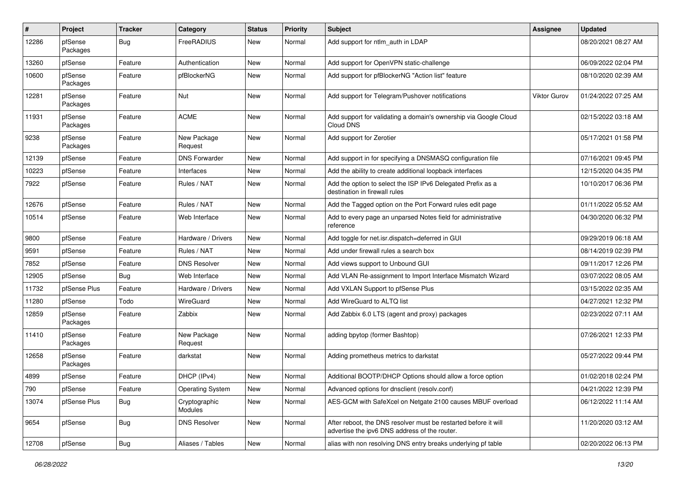| ∦     | Project             | <b>Tracker</b> | Category                 | <b>Status</b> | <b>Priority</b> | <b>Subject</b>                                                                                                   | Assignee            | <b>Updated</b>      |
|-------|---------------------|----------------|--------------------------|---------------|-----------------|------------------------------------------------------------------------------------------------------------------|---------------------|---------------------|
| 12286 | pfSense<br>Packages | Bug            | FreeRADIUS               | New           | Normal          | Add support for ntlm_auth in LDAP                                                                                |                     | 08/20/2021 08:27 AM |
| 13260 | pfSense             | Feature        | Authentication           | New           | Normal          | Add support for OpenVPN static-challenge                                                                         |                     | 06/09/2022 02:04 PM |
| 10600 | pfSense<br>Packages | Feature        | pfBlockerNG              | New           | Normal          | Add support for pfBlockerNG "Action list" feature                                                                |                     | 08/10/2020 02:39 AM |
| 12281 | pfSense<br>Packages | Feature        | Nut                      | <b>New</b>    | Normal          | Add support for Telegram/Pushover notifications                                                                  | <b>Viktor Gurov</b> | 01/24/2022 07:25 AM |
| 11931 | pfSense<br>Packages | Feature        | <b>ACME</b>              | <b>New</b>    | Normal          | Add support for validating a domain's ownership via Google Cloud<br>Cloud DNS                                    |                     | 02/15/2022 03:18 AM |
| 9238  | pfSense<br>Packages | Feature        | New Package<br>Request   | New           | Normal          | Add support for Zerotier                                                                                         |                     | 05/17/2021 01:58 PM |
| 12139 | pfSense             | Feature        | <b>DNS Forwarder</b>     | <b>New</b>    | Normal          | Add support in for specifying a DNSMASQ configuration file                                                       |                     | 07/16/2021 09:45 PM |
| 10223 | pfSense             | Feature        | Interfaces               | New           | Normal          | Add the ability to create additional loopback interfaces                                                         |                     | 12/15/2020 04:35 PM |
| 7922  | pfSense             | Feature        | Rules / NAT              | New           | Normal          | Add the option to select the ISP IPv6 Delegated Prefix as a<br>destination in firewall rules                     |                     | 10/10/2017 06:36 PM |
| 12676 | pfSense             | Feature        | Rules / NAT              | <b>New</b>    | Normal          | Add the Tagged option on the Port Forward rules edit page                                                        |                     | 01/11/2022 05:52 AM |
| 10514 | pfSense             | Feature        | Web Interface            | New           | Normal          | Add to every page an unparsed Notes field for administrative<br>reference                                        |                     | 04/30/2020 06:32 PM |
| 9800  | pfSense             | Feature        | Hardware / Drivers       | New           | Normal          | Add toggle for net.isr.dispatch=deferred in GUI                                                                  |                     | 09/29/2019 06:18 AM |
| 9591  | pfSense             | Feature        | Rules / NAT              | New           | Normal          | Add under firewall rules a search box                                                                            |                     | 08/14/2019 02:39 PM |
| 7852  | pfSense             | Feature        | <b>DNS Resolver</b>      | New           | Normal          | Add views support to Unbound GUI                                                                                 |                     | 09/11/2017 12:26 PM |
| 12905 | pfSense             | Bug            | Web Interface            | New           | Normal          | Add VLAN Re-assignment to Import Interface Mismatch Wizard                                                       |                     | 03/07/2022 08:05 AM |
| 11732 | pfSense Plus        | Feature        | Hardware / Drivers       | New           | Normal          | Add VXLAN Support to pfSense Plus                                                                                |                     | 03/15/2022 02:35 AM |
| 11280 | pfSense             | Todo           | WireGuard                | <b>New</b>    | Normal          | Add WireGuard to ALTQ list                                                                                       |                     | 04/27/2021 12:32 PM |
| 12859 | pfSense<br>Packages | Feature        | Zabbix                   | New           | Normal          | Add Zabbix 6.0 LTS (agent and proxy) packages                                                                    |                     | 02/23/2022 07:11 AM |
| 11410 | pfSense<br>Packages | Feature        | New Package<br>Request   | New           | Normal          | adding bpytop (former Bashtop)                                                                                   |                     | 07/26/2021 12:33 PM |
| 12658 | pfSense<br>Packages | Feature        | darkstat                 | New           | Normal          | Adding prometheus metrics to darkstat                                                                            |                     | 05/27/2022 09:44 PM |
| 4899  | pfSense             | Feature        | DHCP (IPv4)              | <b>New</b>    | Normal          | Additional BOOTP/DHCP Options should allow a force option                                                        |                     | 01/02/2018 02:24 PM |
| 790   | pfSense             | Feature        | <b>Operating System</b>  | New           | Normal          | Advanced options for dnsclient (resolv.conf)                                                                     |                     | 04/21/2022 12:39 PM |
| 13074 | pfSense Plus        | <b>Bug</b>     | Cryptographic<br>Modules | New           | Normal          | AES-GCM with SafeXcel on Netgate 2100 causes MBUF overload                                                       |                     | 06/12/2022 11:14 AM |
| 9654  | pfSense             | <b>Bug</b>     | <b>DNS Resolver</b>      | New           | Normal          | After reboot, the DNS resolver must be restarted before it will<br>advertise the ipv6 DNS address of the router. |                     | 11/20/2020 03:12 AM |
| 12708 | pfSense             | <b>Bug</b>     | Aliases / Tables         | New           | Normal          | alias with non resolving DNS entry breaks underlying pf table                                                    |                     | 02/20/2022 06:13 PM |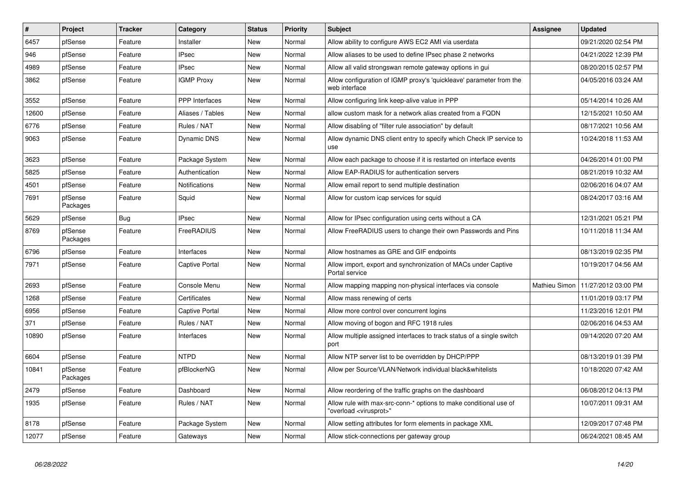| #     | <b>Project</b>      | <b>Tracker</b> | Category              | <b>Status</b> | <b>Priority</b> | <b>Subject</b>                                                                                          | <b>Assignee</b> | <b>Updated</b>      |
|-------|---------------------|----------------|-----------------------|---------------|-----------------|---------------------------------------------------------------------------------------------------------|-----------------|---------------------|
| 6457  | pfSense             | Feature        | Installer             | <b>New</b>    | Normal          | Allow ability to configure AWS EC2 AMI via userdata                                                     |                 | 09/21/2020 02:54 PM |
| 946   | pfSense             | Feature        | <b>IPsec</b>          | <b>New</b>    | Normal          | Allow aliases to be used to define IPsec phase 2 networks                                               |                 | 04/21/2022 12:39 PM |
| 4989  | pfSense             | Feature        | <b>IPsec</b>          | <b>New</b>    | Normal          | Allow all valid strongswan remote gateway options in gui                                                |                 | 08/20/2015 02:57 PM |
| 3862  | pfSense             | Feature        | <b>IGMP Proxy</b>     | <b>New</b>    | Normal          | Allow configuration of IGMP proxy's 'quickleave' parameter from the<br>web interface                    |                 | 04/05/2016 03:24 AM |
| 3552  | pfSense             | Feature        | PPP Interfaces        | <b>New</b>    | Normal          | Allow configuring link keep-alive value in PPP                                                          |                 | 05/14/2014 10:26 AM |
| 12600 | pfSense             | Feature        | Aliases / Tables      | <b>New</b>    | Normal          | allow custom mask for a network alias created from a FQDN                                               |                 | 12/15/2021 10:50 AM |
| 6776  | pfSense             | Feature        | Rules / NAT           | <b>New</b>    | Normal          | Allow disabling of "filter rule association" by default                                                 |                 | 08/17/2021 10:56 AM |
| 9063  | pfSense             | Feature        | <b>Dynamic DNS</b>    | New           | Normal          | Allow dynamic DNS client entry to specify which Check IP service to<br>use                              |                 | 10/24/2018 11:53 AM |
| 3623  | pfSense             | Feature        | Package System        | <b>New</b>    | Normal          | Allow each package to choose if it is restarted on interface events                                     |                 | 04/26/2014 01:00 PM |
| 5825  | pfSense             | Feature        | Authentication        | <b>New</b>    | Normal          | Allow EAP-RADIUS for authentication servers                                                             |                 | 08/21/2019 10:32 AM |
| 4501  | pfSense             | Feature        | Notifications         | <b>New</b>    | Normal          | Allow email report to send multiple destination                                                         |                 | 02/06/2016 04:07 AM |
| 7691  | pfSense<br>Packages | Feature        | Squid                 | <b>New</b>    | Normal          | Allow for custom icap services for squid                                                                |                 | 08/24/2017 03:16 AM |
| 5629  | pfSense             | Bug            | <b>IPsec</b>          | New           | Normal          | Allow for IPsec configuration using certs without a CA                                                  |                 | 12/31/2021 05:21 PM |
| 8769  | pfSense<br>Packages | Feature        | FreeRADIUS            | New           | Normal          | Allow FreeRADIUS users to change their own Passwords and Pins                                           |                 | 10/11/2018 11:34 AM |
| 6796  | pfSense             | Feature        | Interfaces            | New           | Normal          | Allow hostnames as GRE and GIF endpoints                                                                |                 | 08/13/2019 02:35 PM |
| 7971  | pfSense             | Feature        | <b>Captive Portal</b> | New           | Normal          | Allow import, export and synchronization of MACs under Captive<br>Portal service                        |                 | 10/19/2017 04:56 AM |
| 2693  | pfSense             | Feature        | Console Menu          | <b>New</b>    | Normal          | Allow mapping mapping non-physical interfaces via console                                               | Mathieu Simon   | 11/27/2012 03:00 PM |
| 1268  | pfSense             | Feature        | Certificates          | New           | Normal          | Allow mass renewing of certs                                                                            |                 | 11/01/2019 03:17 PM |
| 6956  | pfSense             | Feature        | <b>Captive Portal</b> | New           | Normal          | Allow more control over concurrent logins                                                               |                 | 11/23/2016 12:01 PM |
| 371   | pfSense             | Feature        | Rules / NAT           | New           | Normal          | Allow moving of bogon and RFC 1918 rules                                                                |                 | 02/06/2016 04:53 AM |
| 10890 | pfSense             | Feature        | Interfaces            | New           | Normal          | Allow multiple assigned interfaces to track status of a single switch<br>port                           |                 | 09/14/2020 07:20 AM |
| 6604  | pfSense             | Feature        | <b>NTPD</b>           | <b>New</b>    | Normal          | Allow NTP server list to be overridden by DHCP/PPP                                                      |                 | 08/13/2019 01:39 PM |
| 10841 | pfSense<br>Packages | Feature        | pfBlockerNG           | New           | Normal          | Allow per Source/VLAN/Network individual black&whitelists                                               |                 | 10/18/2020 07:42 AM |
| 2479  | pfSense             | Feature        | Dashboard             | <b>New</b>    | Normal          | Allow reordering of the traffic graphs on the dashboard                                                 |                 | 06/08/2012 04:13 PM |
| 1935  | pfSense             | Feature        | Rules / NAT           | <b>New</b>    | Normal          | Allow rule with max-src-conn-* options to make conditional use of<br>"overload <virusprot>"</virusprot> |                 | 10/07/2011 09:31 AM |
| 8178  | pfSense             | Feature        | Package System        | <b>New</b>    | Normal          | Allow setting attributes for form elements in package XML                                               |                 | 12/09/2017 07:48 PM |
| 12077 | pfSense             | Feature        | Gateways              | <b>New</b>    | Normal          | Allow stick-connections per gateway group                                                               |                 | 06/24/2021 08:45 AM |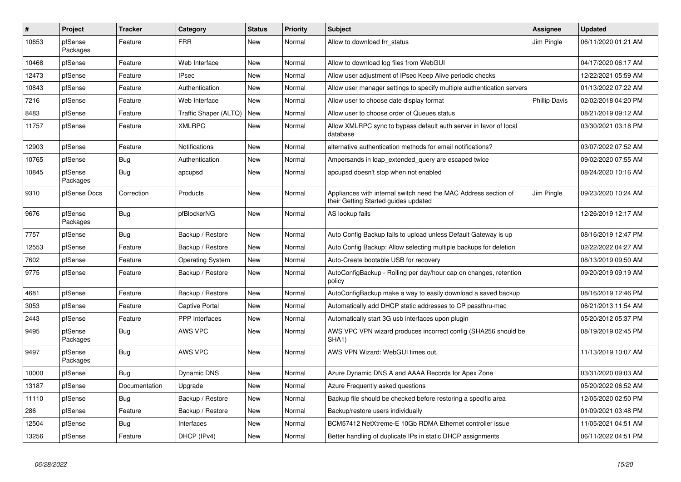| $\vert$ # | Project             | <b>Tracker</b> | Category                | <b>Status</b> | <b>Priority</b> | <b>Subject</b>                                                                                          | Assignee             | <b>Updated</b>      |
|-----------|---------------------|----------------|-------------------------|---------------|-----------------|---------------------------------------------------------------------------------------------------------|----------------------|---------------------|
| 10653     | pfSense<br>Packages | Feature        | <b>FRR</b>              | <b>New</b>    | Normal          | Allow to download frr status                                                                            | Jim Pingle           | 06/11/2020 01:21 AM |
| 10468     | pfSense             | Feature        | Web Interface           | <b>New</b>    | Normal          | Allow to download log files from WebGUI                                                                 |                      | 04/17/2020 06:17 AM |
| 12473     | pfSense             | Feature        | <b>IPsec</b>            | New           | Normal          | Allow user adjustment of IPsec Keep Alive periodic checks                                               |                      | 12/22/2021 05:59 AM |
| 10843     | pfSense             | Feature        | Authentication          | New           | Normal          | Allow user manager settings to specify multiple authentication servers                                  |                      | 01/13/2022 07:22 AM |
| 7216      | pfSense             | Feature        | Web Interface           | New           | Normal          | Allow user to choose date display format                                                                | <b>Phillip Davis</b> | 02/02/2018 04:20 PM |
| 8483      | pfSense             | Feature        | Traffic Shaper (ALTQ)   | New           | Normal          | Allow user to choose order of Queues status                                                             |                      | 08/21/2019 09:12 AM |
| 11757     | pfSense             | Feature        | <b>XMLRPC</b>           | <b>New</b>    | Normal          | Allow XMLRPC sync to bypass default auth server in favor of local<br>database                           |                      | 03/30/2021 03:18 PM |
| 12903     | pfSense             | Feature        | Notifications           | New           | Normal          | alternative authentication methods for email notifications?                                             |                      | 03/07/2022 07:52 AM |
| 10765     | pfSense             | Bug            | Authentication          | <b>New</b>    | Normal          | Ampersands in Idap_extended_query are escaped twice                                                     |                      | 09/02/2020 07:55 AM |
| 10845     | pfSense<br>Packages | <b>Bug</b>     | apcupsd                 | New           | Normal          | apcupsd doesn't stop when not enabled                                                                   |                      | 08/24/2020 10:16 AM |
| 9310      | pfSense Docs        | Correction     | Products                | New           | Normal          | Appliances with internal switch need the MAC Address section of<br>their Getting Started guides updated | Jim Pingle           | 09/23/2020 10:24 AM |
| 9676      | pfSense<br>Packages | <b>Bug</b>     | pfBlockerNG             | New           | Normal          | AS lookup fails                                                                                         |                      | 12/26/2019 12:17 AM |
| 7757      | pfSense             | Bug            | Backup / Restore        | <b>New</b>    | Normal          | Auto Config Backup fails to upload unless Default Gateway is up                                         |                      | 08/16/2019 12:47 PM |
| 12553     | pfSense             | Feature        | Backup / Restore        | New           | Normal          | Auto Config Backup: Allow selecting multiple backups for deletion                                       |                      | 02/22/2022 04:27 AM |
| 7602      | pfSense             | Feature        | <b>Operating System</b> | New           | Normal          | Auto-Create bootable USB for recovery                                                                   |                      | 08/13/2019 09:50 AM |
| 9775      | pfSense             | Feature        | Backup / Restore        | New           | Normal          | AutoConfigBackup - Rolling per day/hour cap on changes, retention<br>policy                             |                      | 09/20/2019 09:19 AM |
| 4681      | pfSense             | Feature        | Backup / Restore        | <b>New</b>    | Normal          | AutoConfigBackup make a way to easily download a saved backup                                           |                      | 08/16/2019 12:46 PM |
| 3053      | pfSense             | Feature        | <b>Captive Portal</b>   | New           | Normal          | Automatically add DHCP static addresses to CP passthru-mac                                              |                      | 06/21/2013 11:54 AM |
| 2443      | pfSense             | Feature        | <b>PPP</b> Interfaces   | New           | Normal          | Automatically start 3G usb interfaces upon plugin                                                       |                      | 05/20/2012 05:37 PM |
| 9495      | pfSense<br>Packages | Bug            | AWS VPC                 | New           | Normal          | AWS VPC VPN wizard produces incorrect config (SHA256 should be<br>SHA1)                                 |                      | 08/19/2019 02:45 PM |
| 9497      | pfSense<br>Packages | <b>Bug</b>     | AWS VPC                 | <b>New</b>    | Normal          | AWS VPN Wizard: WebGUI times out.                                                                       |                      | 11/13/2019 10:07 AM |
| 10000     | pfSense             | Bug            | Dynamic DNS             | <b>New</b>    | Normal          | Azure Dynamic DNS A and AAAA Records for Apex Zone                                                      |                      | 03/31/2020 09:03 AM |
| 13187     | pfSense             | Documentation  | Upgrade                 | New           | Normal          | Azure Frequently asked questions                                                                        |                      | 05/20/2022 06:52 AM |
| 11110     | pfSense             | Bug            | Backup / Restore        | <b>New</b>    | Normal          | Backup file should be checked before restoring a specific area                                          |                      | 12/05/2020 02:50 PM |
| 286       | pfSense             | Feature        | Backup / Restore        | New           | Normal          | Backup/restore users individually                                                                       |                      | 01/09/2021 03:48 PM |
| 12504     | pfSense             | <b>Bug</b>     | Interfaces              | <b>New</b>    | Normal          | BCM57412 NetXtreme-E 10Gb RDMA Ethernet controller issue                                                |                      | 11/05/2021 04:51 AM |
| 13256     | pfSense             | Feature        | DHCP (IPv4)             | New           | Normal          | Better handling of duplicate IPs in static DHCP assignments                                             |                      | 06/11/2022 04:51 PM |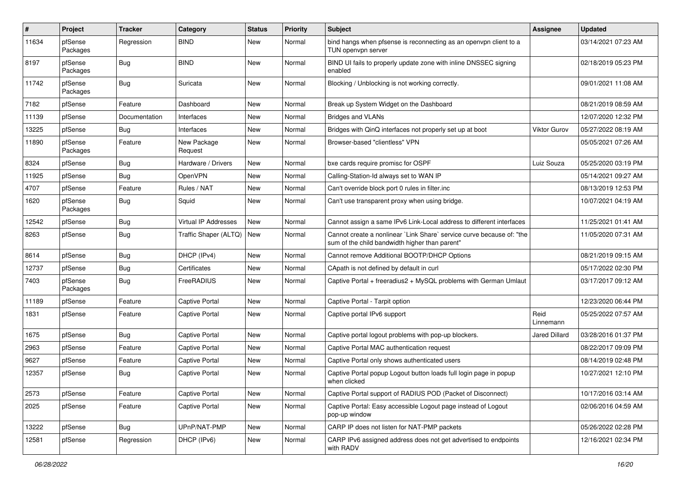| #     | Project             | <b>Tracker</b> | Category               | <b>Status</b> | <b>Priority</b> | <b>Subject</b>                                                                                                          | Assignee          | <b>Updated</b>      |
|-------|---------------------|----------------|------------------------|---------------|-----------------|-------------------------------------------------------------------------------------------------------------------------|-------------------|---------------------|
| 11634 | pfSense<br>Packages | Regression     | <b>BIND</b>            | <b>New</b>    | Normal          | bind hangs when pfsense is reconnecting as an openvpn client to a<br>TUN openvpn server                                 |                   | 03/14/2021 07:23 AM |
| 8197  | pfSense<br>Packages | Bug            | <b>BIND</b>            | New           | Normal          | BIND UI fails to properly update zone with inline DNSSEC signing<br>enabled                                             |                   | 02/18/2019 05:23 PM |
| 11742 | pfSense<br>Packages | Bug            | Suricata               | <b>New</b>    | Normal          | Blocking / Unblocking is not working correctly.                                                                         |                   | 09/01/2021 11:08 AM |
| 7182  | pfSense             | Feature        | Dashboard              | <b>New</b>    | Normal          | Break up System Widget on the Dashboard                                                                                 |                   | 08/21/2019 08:59 AM |
| 11139 | pfSense             | Documentation  | Interfaces             | <b>New</b>    | Normal          | <b>Bridges and VLANs</b>                                                                                                |                   | 12/07/2020 12:32 PM |
| 13225 | pfSense             | Bug            | Interfaces             | <b>New</b>    | Normal          | Bridges with QinQ interfaces not properly set up at boot                                                                | Viktor Gurov      | 05/27/2022 08:19 AM |
| 11890 | pfSense<br>Packages | Feature        | New Package<br>Request | New           | Normal          | Browser-based "clientless" VPN                                                                                          |                   | 05/05/2021 07:26 AM |
| 8324  | pfSense             | <b>Bug</b>     | Hardware / Drivers     | <b>New</b>    | Normal          | bxe cards require promisc for OSPF                                                                                      | Luiz Souza        | 05/25/2020 03:19 PM |
| 11925 | pfSense             | Bug            | OpenVPN                | <b>New</b>    | Normal          | Calling-Station-Id always set to WAN IP                                                                                 |                   | 05/14/2021 09:27 AM |
| 4707  | pfSense             | Feature        | Rules / NAT            | <b>New</b>    | Normal          | Can't override block port 0 rules in filter.inc                                                                         |                   | 08/13/2019 12:53 PM |
| 1620  | pfSense<br>Packages | <b>Bug</b>     | Squid                  | New           | Normal          | Can't use transparent proxy when using bridge.                                                                          |                   | 10/07/2021 04:19 AM |
| 12542 | pfSense             | Bug            | Virtual IP Addresses   | <b>New</b>    | Normal          | Cannot assign a same IPv6 Link-Local address to different interfaces                                                    |                   | 11/25/2021 01:41 AM |
| 8263  | pfSense             | <b>Bug</b>     | Traffic Shaper (ALTQ)  | New           | Normal          | Cannot create a nonlinear `Link Share` service curve because of: "the<br>sum of the child bandwidth higher than parent" |                   | 11/05/2020 07:31 AM |
| 8614  | pfSense             | <b>Bug</b>     | DHCP (IPv4)            | <b>New</b>    | Normal          | Cannot remove Additional BOOTP/DHCP Options                                                                             |                   | 08/21/2019 09:15 AM |
| 12737 | pfSense             | Bug            | Certificates           | <b>New</b>    | Normal          | CApath is not defined by default in curl                                                                                |                   | 05/17/2022 02:30 PM |
| 7403  | pfSense<br>Packages | <b>Bug</b>     | FreeRADIUS             | New           | Normal          | Captive Portal + freeradius2 + MySQL problems with German Umlaut                                                        |                   | 03/17/2017 09:12 AM |
| 11189 | pfSense             | Feature        | <b>Captive Portal</b>  | <b>New</b>    | Normal          | Captive Portal - Tarpit option                                                                                          |                   | 12/23/2020 06:44 PM |
| 1831  | pfSense             | Feature        | Captive Portal         | <b>New</b>    | Normal          | Captive portal IPv6 support                                                                                             | Reid<br>Linnemann | 05/25/2022 07:57 AM |
| 1675  | pfSense             | Bug            | Captive Portal         | New           | Normal          | Captive portal logout problems with pop-up blockers.                                                                    | Jared Dillard     | 03/28/2016 01:37 PM |
| 2963  | pfSense             | Feature        | <b>Captive Portal</b>  | <b>New</b>    | Normal          | Captive Portal MAC authentication request                                                                               |                   | 08/22/2017 09:09 PM |
| 9627  | pfSense             | Feature        | <b>Captive Portal</b>  | <b>New</b>    | Normal          | Captive Portal only shows authenticated users                                                                           |                   | 08/14/2019 02:48 PM |
| 12357 | pfSense             | <b>Bug</b>     | <b>Captive Portal</b>  | <b>New</b>    | Normal          | Captive Portal popup Logout button loads full login page in popup<br>when clicked                                       |                   | 10/27/2021 12:10 PM |
| 2573  | pfSense             | Feature        | Captive Portal         | New           | Normal          | Captive Portal support of RADIUS POD (Packet of Disconnect)                                                             |                   | 10/17/2016 03:14 AM |
| 2025  | pfSense             | Feature        | Captive Portal         | New           | Normal          | Captive Portal: Easy accessible Logout page instead of Logout<br>pop-up window                                          |                   | 02/06/2016 04:59 AM |
| 13222 | pfSense             | Bug            | UPnP/NAT-PMP           | New           | Normal          | CARP IP does not listen for NAT-PMP packets                                                                             |                   | 05/26/2022 02:28 PM |
| 12581 | pfSense             | Regression     | DHCP (IPv6)            | New           | Normal          | CARP IPv6 assigned address does not get advertised to endpoints<br>with RADV                                            |                   | 12/16/2021 02:34 PM |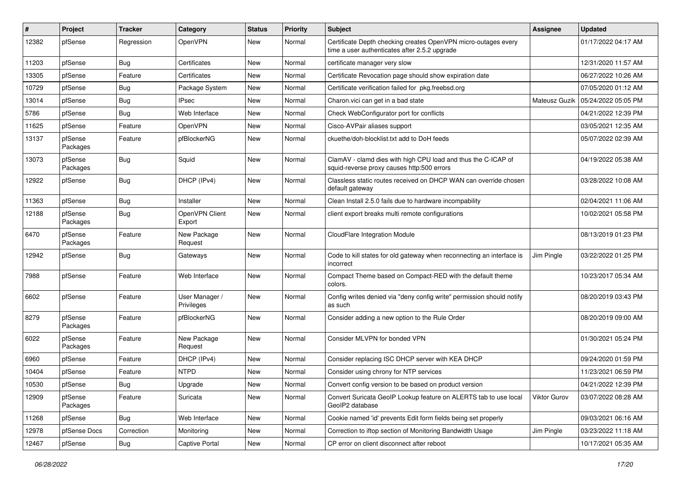| #     | Project             | <b>Tracker</b> | Category                     | <b>Status</b> | Priority | <b>Subject</b>                                                                                                  | Assignee      | <b>Updated</b>      |
|-------|---------------------|----------------|------------------------------|---------------|----------|-----------------------------------------------------------------------------------------------------------------|---------------|---------------------|
| 12382 | pfSense             | Regression     | OpenVPN                      | New           | Normal   | Certificate Depth checking creates OpenVPN micro-outages every<br>time a user authenticates after 2.5.2 upgrade |               | 01/17/2022 04:17 AM |
| 11203 | pfSense             | Bug            | Certificates                 | New           | Normal   | certificate manager very slow                                                                                   |               | 12/31/2020 11:57 AM |
| 13305 | pfSense             | Feature        | Certificates                 | New           | Normal   | Certificate Revocation page should show expiration date                                                         |               | 06/27/2022 10:26 AM |
| 10729 | pfSense             | <b>Bug</b>     | Package System               | New           | Normal   | Certificate verification failed for pkg.freebsd.org                                                             |               | 07/05/2020 01:12 AM |
| 13014 | pfSense             | <b>Bug</b>     | <b>IPsec</b>                 | New           | Normal   | Charon vici can get in a bad state                                                                              | Mateusz Guzik | 05/24/2022 05:05 PM |
| 5786  | pfSense             | Bug            | Web Interface                | New           | Normal   | Check WebConfigurator port for conflicts                                                                        |               | 04/21/2022 12:39 PM |
| 11625 | pfSense             | Feature        | OpenVPN                      | New           | Normal   | Cisco-AVPair aliases support                                                                                    |               | 03/05/2021 12:35 AM |
| 13137 | pfSense<br>Packages | Feature        | pfBlockerNG                  | New           | Normal   | ckuethe/doh-blocklist.txt add to DoH feeds                                                                      |               | 05/07/2022 02:39 AM |
| 13073 | pfSense<br>Packages | Bug            | Squid                        | New           | Normal   | ClamAV - clamd dies with high CPU load and thus the C-ICAP of<br>squid-reverse proxy causes http:500 errors     |               | 04/19/2022 05:38 AM |
| 12922 | pfSense             | Bug            | DHCP (IPv4)                  | New           | Normal   | Classless static routes received on DHCP WAN can override chosen<br>default gateway                             |               | 03/28/2022 10:08 AM |
| 11363 | pfSense             | <b>Bug</b>     | Installer                    | New           | Normal   | Clean Install 2.5.0 fails due to hardware incompability                                                         |               | 02/04/2021 11:06 AM |
| 12188 | pfSense<br>Packages | Bug            | OpenVPN Client<br>Export     | New           | Normal   | client export breaks multi remote configurations                                                                |               | 10/02/2021 05:58 PM |
| 6470  | pfSense<br>Packages | Feature        | New Package<br>Request       | New           | Normal   | CloudFlare Integration Module                                                                                   |               | 08/13/2019 01:23 PM |
| 12942 | pfSense             | Bug            | Gateways                     | New           | Normal   | Code to kill states for old gateway when reconnecting an interface is<br>incorrect                              | Jim Pingle    | 03/22/2022 01:25 PM |
| 7988  | pfSense             | Feature        | Web Interface                | New           | Normal   | Compact Theme based on Compact-RED with the default theme<br>colors.                                            |               | 10/23/2017 05:34 AM |
| 6602  | pfSense             | Feature        | User Manager /<br>Privileges | New           | Normal   | Config writes denied via "deny config write" permission should notify<br>as such                                |               | 08/20/2019 03:43 PM |
| 8279  | pfSense<br>Packages | Feature        | pfBlockerNG                  | New           | Normal   | Consider adding a new option to the Rule Order                                                                  |               | 08/20/2019 09:00 AM |
| 6022  | pfSense<br>Packages | Feature        | New Package<br>Request       | New           | Normal   | Consider MLVPN for bonded VPN                                                                                   |               | 01/30/2021 05:24 PM |
| 6960  | pfSense             | Feature        | DHCP (IPv4)                  | New           | Normal   | Consider replacing ISC DHCP server with KEA DHCP                                                                |               | 09/24/2020 01:59 PM |
| 10404 | pfSense             | Feature        | <b>NTPD</b>                  | New           | Normal   | Consider using chrony for NTP services                                                                          |               | 11/23/2021 06:59 PM |
| 10530 | pfSense             | <b>Bug</b>     | Upgrade                      | New           | Normal   | Convert config version to be based on product version                                                           |               | 04/21/2022 12:39 PM |
| 12909 | pfSense<br>Packages | Feature        | Suricata                     | New           | Normal   | Convert Suricata GeoIP Lookup feature on ALERTS tab to use local<br>GeoIP2 database                             | Viktor Gurov  | 03/07/2022 08:28 AM |
| 11268 | pfSense             | Bug            | Web Interface                | New           | Normal   | Cookie named 'id' prevents Edit form fields being set properly                                                  |               | 09/03/2021 06:16 AM |
| 12978 | pfSense Docs        | Correction     | Monitoring                   | New           | Normal   | Correction to iftop section of Monitoring Bandwidth Usage                                                       | Jim Pingle    | 03/23/2022 11:18 AM |
| 12467 | pfSense             | <b>Bug</b>     | Captive Portal               | New           | Normal   | CP error on client disconnect after reboot                                                                      |               | 10/17/2021 05:35 AM |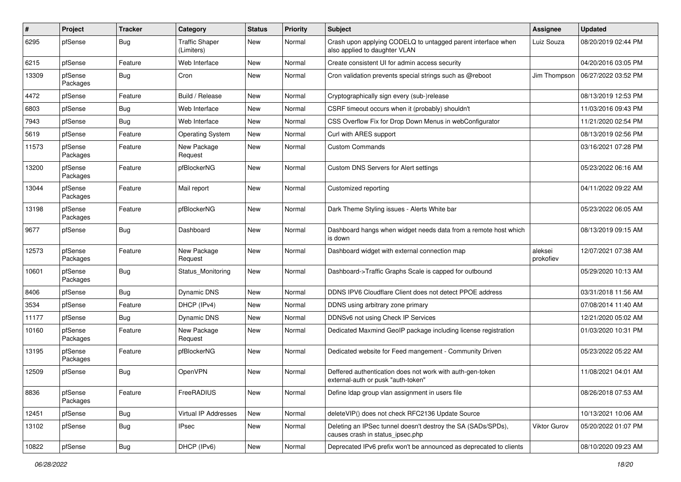| $\vert$ # | Project             | <b>Tracker</b> | Category                            | <b>Status</b> | <b>Priority</b> | <b>Subject</b>                                                                                   | <b>Assignee</b>      | <b>Updated</b>      |
|-----------|---------------------|----------------|-------------------------------------|---------------|-----------------|--------------------------------------------------------------------------------------------------|----------------------|---------------------|
| 6295      | pfSense             | <b>Bug</b>     | <b>Traffic Shaper</b><br>(Limiters) | New           | Normal          | Crash upon applying CODELQ to untagged parent interface when<br>also applied to daughter VLAN    | Luiz Souza           | 08/20/2019 02:44 PM |
| 6215      | pfSense             | Feature        | Web Interface                       | New           | Normal          | Create consistent UI for admin access security                                                   |                      | 04/20/2016 03:05 PM |
| 13309     | pfSense<br>Packages | Bug            | Cron                                | New           | Normal          | Cron validation prevents special strings such as @reboot                                         | Jim Thompson         | 06/27/2022 03:52 PM |
| 4472      | pfSense             | Feature        | Build / Release                     | New           | Normal          | Cryptographically sign every (sub-)release                                                       |                      | 08/13/2019 12:53 PM |
| 6803      | pfSense             | <b>Bug</b>     | Web Interface                       | New           | Normal          | CSRF timeout occurs when it (probably) shouldn't                                                 |                      | 11/03/2016 09:43 PM |
| 7943      | pfSense             | Bug            | Web Interface                       | New           | Normal          | CSS Overflow Fix for Drop Down Menus in webConfigurator                                          |                      | 11/21/2020 02:54 PM |
| 5619      | pfSense             | Feature        | <b>Operating System</b>             | New           | Normal          | Curl with ARES support                                                                           |                      | 08/13/2019 02:56 PM |
| 11573     | pfSense<br>Packages | Feature        | New Package<br>Request              | New           | Normal          | <b>Custom Commands</b>                                                                           |                      | 03/16/2021 07:28 PM |
| 13200     | pfSense<br>Packages | Feature        | pfBlockerNG                         | New           | Normal          | Custom DNS Servers for Alert settings                                                            |                      | 05/23/2022 06:16 AM |
| 13044     | pfSense<br>Packages | Feature        | Mail report                         | New           | Normal          | Customized reporting                                                                             |                      | 04/11/2022 09:22 AM |
| 13198     | pfSense<br>Packages | Feature        | pfBlockerNG                         | New           | Normal          | Dark Theme Styling issues - Alerts White bar                                                     |                      | 05/23/2022 06:05 AM |
| 9677      | pfSense             | Bug            | Dashboard                           | New           | Normal          | Dashboard hangs when widget needs data from a remote host which<br>is down                       |                      | 08/13/2019 09:15 AM |
| 12573     | pfSense<br>Packages | Feature        | New Package<br>Request              | New           | Normal          | Dashboard widget with external connection map                                                    | aleksei<br>prokofiev | 12/07/2021 07:38 AM |
| 10601     | pfSense<br>Packages | Bug            | Status Monitoring                   | New           | Normal          | Dashboard->Traffic Graphs Scale is capped for outbound                                           |                      | 05/29/2020 10:13 AM |
| 8406      | pfSense             | Bug            | <b>Dynamic DNS</b>                  | New           | Normal          | DDNS IPV6 Cloudflare Client does not detect PPOE address                                         |                      | 03/31/2018 11:56 AM |
| 3534      | pfSense             | Feature        | DHCP (IPv4)                         | New           | Normal          | DDNS using arbitrary zone primary                                                                |                      | 07/08/2014 11:40 AM |
| 11177     | pfSense             | <b>Bug</b>     | <b>Dynamic DNS</b>                  | New           | Normal          | DDNSv6 not using Check IP Services                                                               |                      | 12/21/2020 05:02 AM |
| 10160     | pfSense<br>Packages | Feature        | New Package<br>Request              | New           | Normal          | Dedicated Maxmind GeoIP package including license registration                                   |                      | 01/03/2020 10:31 PM |
| 13195     | pfSense<br>Packages | Feature        | pfBlockerNG                         | New           | Normal          | Dedicated website for Feed mangement - Community Driven                                          |                      | 05/23/2022 05:22 AM |
| 12509     | pfSense             | Bug            | OpenVPN                             | New           | Normal          | Deffered authentication does not work with auth-gen-token<br>external-auth or pusk "auth-token"  |                      | 11/08/2021 04:01 AM |
| 8836      | pfSense<br>Packages | Feature        | FreeRADIUS                          | New           | Normal          | Define Idap group vlan assignment in users file                                                  |                      | 08/26/2018 07:53 AM |
| 12451     | pfSense             | <b>Bug</b>     | Virtual IP Addresses                | New           | Normal          | deleteVIP() does not check RFC2136 Update Source                                                 |                      | 10/13/2021 10:06 AM |
| 13102     | pfSense             | Bug            | <b>IPsec</b>                        | New           | Normal          | Deleting an IPSec tunnel doesn't destroy the SA (SADs/SPDs),<br>causes crash in status_ipsec.php | Viktor Gurov         | 05/20/2022 01:07 PM |
| 10822     | pfSense             | Bug            | DHCP (IPv6)                         | New           | Normal          | Deprecated IPv6 prefix won't be announced as deprecated to clients                               |                      | 08/10/2020 09:23 AM |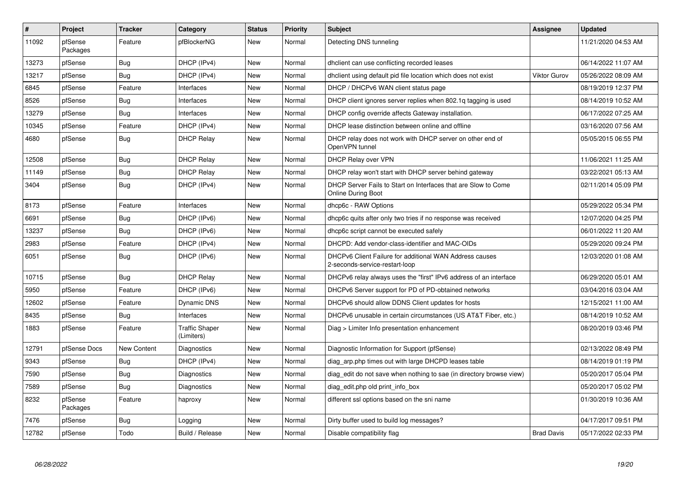| $\vert$ # | Project             | <b>Tracker</b> | Category                            | <b>Status</b> | <b>Priority</b> | <b>Subject</b>                                                                            | Assignee            | <b>Updated</b>      |
|-----------|---------------------|----------------|-------------------------------------|---------------|-----------------|-------------------------------------------------------------------------------------------|---------------------|---------------------|
| 11092     | pfSense<br>Packages | Feature        | pfBlockerNG                         | <b>New</b>    | Normal          | Detecting DNS tunneling                                                                   |                     | 11/21/2020 04:53 AM |
| 13273     | pfSense             | <b>Bug</b>     | DHCP (IPv4)                         | <b>New</b>    | Normal          | dhclient can use conflicting recorded leases                                              |                     | 06/14/2022 11:07 AM |
| 13217     | pfSense             | <b>Bug</b>     | DHCP (IPv4)                         | <b>New</b>    | Normal          | dholient using default pid file location which does not exist                             | <b>Viktor Gurov</b> | 05/26/2022 08:09 AM |
| 6845      | pfSense             | Feature        | Interfaces                          | <b>New</b>    | Normal          | DHCP / DHCPv6 WAN client status page                                                      |                     | 08/19/2019 12:37 PM |
| 8526      | pfSense             | <b>Bug</b>     | Interfaces                          | <b>New</b>    | Normal          | DHCP client ignores server replies when 802.1q tagging is used                            |                     | 08/14/2019 10:52 AM |
| 13279     | pfSense             | <b>Bug</b>     | Interfaces                          | <b>New</b>    | Normal          | DHCP config override affects Gateway installation.                                        |                     | 06/17/2022 07:25 AM |
| 10345     | pfSense             | Feature        | DHCP (IPv4)                         | <b>New</b>    | Normal          | DHCP lease distinction between online and offline                                         |                     | 03/16/2020 07:56 AM |
| 4680      | pfSense             | Bug            | <b>DHCP Relay</b>                   | New           | Normal          | DHCP relay does not work with DHCP server on other end of<br>OpenVPN tunnel               |                     | 05/05/2015 06:55 PM |
| 12508     | pfSense             | Bug            | <b>DHCP Relay</b>                   | <b>New</b>    | Normal          | DHCP Relay over VPN                                                                       |                     | 11/06/2021 11:25 AM |
| 11149     | pfSense             | Bug            | <b>DHCP Relay</b>                   | <b>New</b>    | Normal          | DHCP relay won't start with DHCP server behind gateway                                    |                     | 03/22/2021 05:13 AM |
| 3404      | pfSense             | <b>Bug</b>     | DHCP (IPv4)                         | <b>New</b>    | Normal          | DHCP Server Fails to Start on Interfaces that are Slow to Come<br>Online During Boot      |                     | 02/11/2014 05:09 PM |
| 8173      | pfSense             | Feature        | Interfaces                          | <b>New</b>    | Normal          | dhcp6c - RAW Options                                                                      |                     | 05/29/2022 05:34 PM |
| 6691      | pfSense             | Bug            | DHCP (IPv6)                         | <b>New</b>    | Normal          | dhcp6c quits after only two tries if no response was received                             |                     | 12/07/2020 04:25 PM |
| 13237     | pfSense             | Bug            | DHCP (IPv6)                         | <b>New</b>    | Normal          | dhcp6c script cannot be executed safely                                                   |                     | 06/01/2022 11:20 AM |
| 2983      | pfSense             | Feature        | DHCP (IPv4)                         | <b>New</b>    | Normal          | DHCPD: Add vendor-class-identifier and MAC-OIDs                                           |                     | 05/29/2020 09:24 PM |
| 6051      | pfSense             | <b>Bug</b>     | DHCP (IPv6)                         | <b>New</b>    | Normal          | DHCPv6 Client Failure for additional WAN Address causes<br>2-seconds-service-restart-loop |                     | 12/03/2020 01:08 AM |
| 10715     | pfSense             | Bug            | <b>DHCP Relay</b>                   | <b>New</b>    | Normal          | DHCPv6 relay always uses the "first" IPv6 address of an interface                         |                     | 06/29/2020 05:01 AM |
| 5950      | pfSense             | Feature        | DHCP (IPv6)                         | <b>New</b>    | Normal          | DHCPv6 Server support for PD of PD-obtained networks                                      |                     | 03/04/2016 03:04 AM |
| 12602     | pfSense             | Feature        | Dynamic DNS                         | <b>New</b>    | Normal          | DHCPv6 should allow DDNS Client updates for hosts                                         |                     | 12/15/2021 11:00 AM |
| 8435      | pfSense             | <b>Bug</b>     | Interfaces                          | <b>New</b>    | Normal          | DHCPv6 unusable in certain circumstances (US AT&T Fiber, etc.)                            |                     | 08/14/2019 10:52 AM |
| 1883      | pfSense             | Feature        | <b>Traffic Shaper</b><br>(Limiters) | <b>New</b>    | Normal          | Diag > Limiter Info presentation enhancement                                              |                     | 08/20/2019 03:46 PM |
| 12791     | pfSense Docs        | New Content    | Diagnostics                         | <b>New</b>    | Normal          | Diagnostic Information for Support (pfSense)                                              |                     | 02/13/2022 08:49 PM |
| 9343      | pfSense             | Bug            | DHCP (IPv4)                         | New           | Normal          | diag arp.php times out with large DHCPD leases table                                      |                     | 08/14/2019 01:19 PM |
| 7590      | pfSense             | Bug            | Diagnostics                         | <b>New</b>    | Normal          | diag_edit do not save when nothing to sae (in directory browse view)                      |                     | 05/20/2017 05:04 PM |
| 7589      | pfSense             | Bug            | Diagnostics                         | <b>New</b>    | Normal          | diag edit.php old print info box                                                          |                     | 05/20/2017 05:02 PM |
| 8232      | pfSense<br>Packages | Feature        | haproxy                             | <b>New</b>    | Normal          | different ssl options based on the sni name                                               |                     | 01/30/2019 10:36 AM |
| 7476      | pfSense             | Bug            | Logging                             | New           | Normal          | Dirty buffer used to build log messages?                                                  |                     | 04/17/2017 09:51 PM |
| 12782     | pfSense             | Todo           | Build / Release                     | <b>New</b>    | Normal          | Disable compatibility flag                                                                | <b>Brad Davis</b>   | 05/17/2022 02:33 PM |